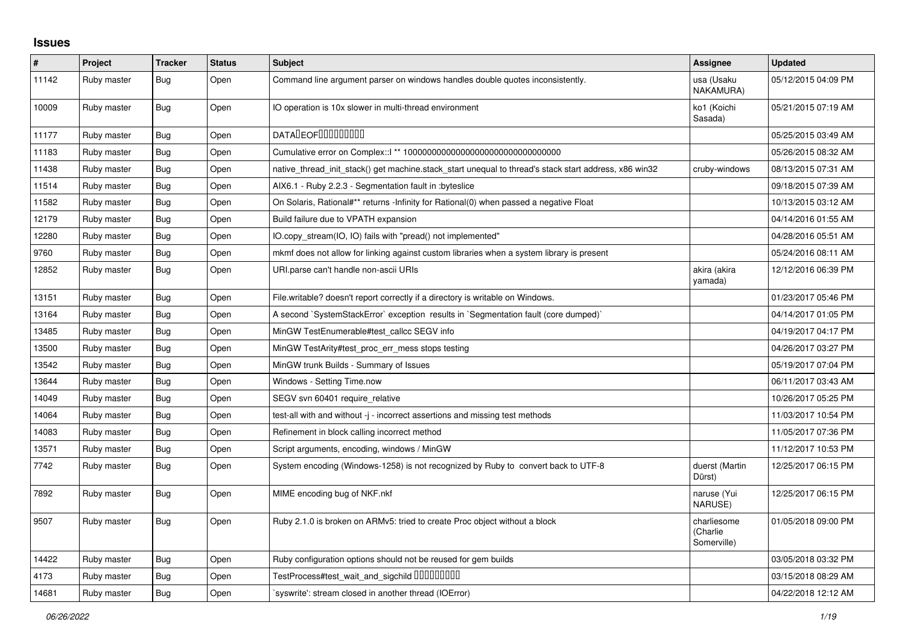## **Issues**

| ∦     | <b>Project</b> | <b>Tracker</b> | <b>Status</b> | <b>Subject</b>                                                                                        | <b>Assignee</b>                        | <b>Updated</b>      |
|-------|----------------|----------------|---------------|-------------------------------------------------------------------------------------------------------|----------------------------------------|---------------------|
| 11142 | Ruby master    | Bug            | Open          | Command line argument parser on windows handles double quotes inconsistently.                         | usa (Usaku<br>NAKAMURA)                | 05/12/2015 04:09 PM |
| 10009 | Ruby master    | <b>Bug</b>     | Open          | IO operation is 10x slower in multi-thread environment                                                | ko1 (Koichi<br>Sasada)                 | 05/21/2015 07:19 AM |
| 11177 | Ruby master    | Bug            | Open          | <b>DATADEOFOOOOOOOO</b>                                                                               |                                        | 05/25/2015 03:49 AM |
| 11183 | Ruby master    | Bug            | Open          |                                                                                                       |                                        | 05/26/2015 08:32 AM |
| 11438 | Ruby master    | Bug            | Open          | native thread init stack() get machine stack start unequal to thread's stack start address, x86 win32 | cruby-windows                          | 08/13/2015 07:31 AM |
| 11514 | Ruby master    | Bug            | Open          | AIX6.1 - Ruby 2.2.3 - Segmentation fault in : byteslice                                               |                                        | 09/18/2015 07:39 AM |
| 11582 | Ruby master    | <b>Bug</b>     | Open          | On Solaris, Rational#** returns -Infinity for Rational(0) when passed a negative Float                |                                        | 10/13/2015 03:12 AM |
| 12179 | Ruby master    | Bug            | Open          | Build failure due to VPATH expansion                                                                  |                                        | 04/14/2016 01:55 AM |
| 12280 | Ruby master    | Bug            | Open          | IO.copy stream(IO, IO) fails with "pread() not implemented"                                           |                                        | 04/28/2016 05:51 AM |
| 9760  | Ruby master    | Bug            | Open          | mkmf does not allow for linking against custom libraries when a system library is present             |                                        | 05/24/2016 08:11 AM |
| 12852 | Ruby master    | Bug            | Open          | URI.parse can't handle non-ascii URIs                                                                 | akira (akira<br>yamada)                | 12/12/2016 06:39 PM |
| 13151 | Ruby master    | <b>Bug</b>     | Open          | File.writable? doesn't report correctly if a directory is writable on Windows.                        |                                        | 01/23/2017 05:46 PM |
| 13164 | Ruby master    | Bug            | Open          | A second `SystemStackError` exception results in `Segmentation fault (core dumped)`                   |                                        | 04/14/2017 01:05 PM |
| 13485 | Ruby master    | Bug            | Open          | MinGW TestEnumerable#test callcc SEGV info                                                            |                                        | 04/19/2017 04:17 PM |
| 13500 | Ruby master    | <b>Bug</b>     | Open          | MinGW TestArity#test_proc_err_mess stops testing                                                      |                                        | 04/26/2017 03:27 PM |
| 13542 | Ruby master    | Bug            | Open          | MinGW trunk Builds - Summary of Issues                                                                |                                        | 05/19/2017 07:04 PM |
| 13644 | Ruby master    | Bug            | Open          | Windows - Setting Time.now                                                                            |                                        | 06/11/2017 03:43 AM |
| 14049 | Ruby master    | <b>Bug</b>     | Open          | SEGV svn 60401 require_relative                                                                       |                                        | 10/26/2017 05:25 PM |
| 14064 | Ruby master    | Bug            | Open          | test-all with and without -j - incorrect assertions and missing test methods                          |                                        | 11/03/2017 10:54 PM |
| 14083 | Ruby master    | Bug            | Open          | Refinement in block calling incorrect method                                                          |                                        | 11/05/2017 07:36 PM |
| 13571 | Ruby master    | Bug            | Open          | Script arguments, encoding, windows / MinGW                                                           |                                        | 11/12/2017 10:53 PM |
| 7742  | Ruby master    | Bug            | Open          | System encoding (Windows-1258) is not recognized by Ruby to convert back to UTF-8                     | duerst (Martin<br>Dürst)               | 12/25/2017 06:15 PM |
| 7892  | Ruby master    | Bug            | Open          | MIME encoding bug of NKF.nkf                                                                          | naruse (Yui<br>NARUSE)                 | 12/25/2017 06:15 PM |
| 9507  | Ruby master    | Bug            | Open          | Ruby 2.1.0 is broken on ARMv5: tried to create Proc object without a block                            | charliesome<br>(Charlie<br>Somerville) | 01/05/2018 09:00 PM |
| 14422 | Ruby master    | <b>Bug</b>     | Open          | Ruby configuration options should not be reused for gem builds                                        |                                        | 03/05/2018 03:32 PM |
| 4173  | Ruby master    | Bug            | Open          | TestProcess#test_wait_and_sigchild DDDDDDDD                                                           |                                        | 03/15/2018 08:29 AM |
| 14681 | Ruby master    | Bug            | Open          | syswrite': stream closed in another thread (IOError)                                                  |                                        | 04/22/2018 12:12 AM |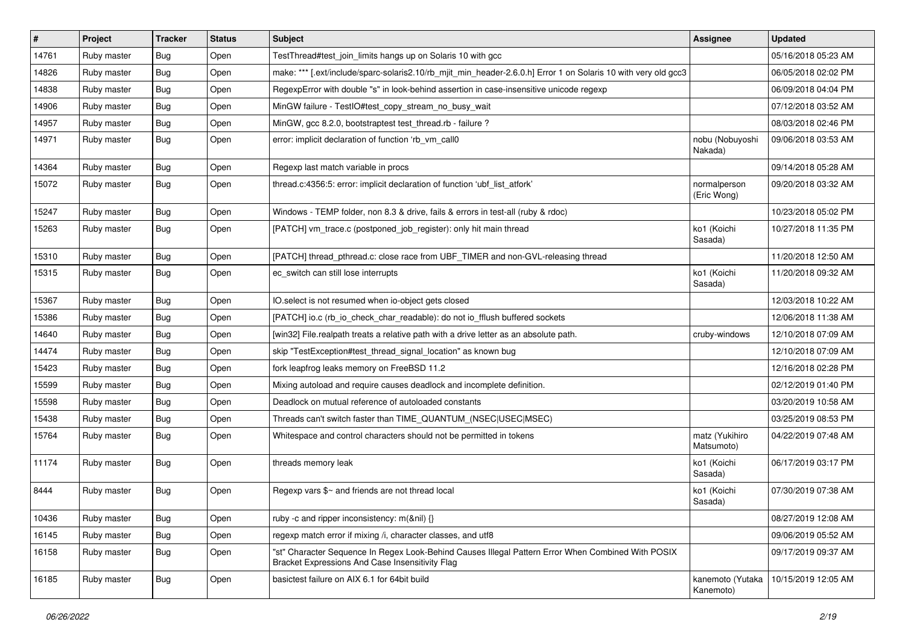| $\sharp$ | Project     | <b>Tracker</b> | <b>Status</b> | <b>Subject</b>                                                                                                                                        | Assignee                      | <b>Updated</b>      |
|----------|-------------|----------------|---------------|-------------------------------------------------------------------------------------------------------------------------------------------------------|-------------------------------|---------------------|
| 14761    | Ruby master | <b>Bug</b>     | Open          | TestThread#test_join_limits hangs up on Solaris 10 with gcc                                                                                           |                               | 05/16/2018 05:23 AM |
| 14826    | Ruby master | Bug            | Open          | make: *** [.ext/include/sparc-solaris2.10/rb_mjit_min_header-2.6.0.h] Error 1 on Solaris 10 with very old gcc3                                        |                               | 06/05/2018 02:02 PM |
| 14838    | Ruby master | <b>Bug</b>     | Open          | RegexpError with double "s" in look-behind assertion in case-insensitive unicode regexp                                                               |                               | 06/09/2018 04:04 PM |
| 14906    | Ruby master | <b>Bug</b>     | Open          | MinGW failure - TestIO#test_copy_stream_no_busy_wait                                                                                                  |                               | 07/12/2018 03:52 AM |
| 14957    | Ruby master | <b>Bug</b>     | Open          | MinGW, gcc 8.2.0, bootstraptest test_thread.rb - failure ?                                                                                            |                               | 08/03/2018 02:46 PM |
| 14971    | Ruby master | Bug            | Open          | error: implicit declaration of function 'rb_vm_call0                                                                                                  | nobu (Nobuyoshi<br>Nakada)    | 09/06/2018 03:53 AM |
| 14364    | Ruby master | <b>Bug</b>     | Open          | Regexp last match variable in procs                                                                                                                   |                               | 09/14/2018 05:28 AM |
| 15072    | Ruby master | Bug            | Open          | thread.c:4356:5: error: implicit declaration of function 'ubf_list_atfork'                                                                            | normalperson<br>(Eric Wong)   | 09/20/2018 03:32 AM |
| 15247    | Ruby master | <b>Bug</b>     | Open          | Windows - TEMP folder, non 8.3 & drive, fails & errors in test-all (ruby & rdoc)                                                                      |                               | 10/23/2018 05:02 PM |
| 15263    | Ruby master | <b>Bug</b>     | Open          | [PATCH] vm_trace.c (postponed_job_register): only hit main thread                                                                                     | ko1 (Koichi<br>Sasada)        | 10/27/2018 11:35 PM |
| 15310    | Ruby master | Bug            | Open          | [PATCH] thread_pthread.c: close race from UBF_TIMER and non-GVL-releasing thread                                                                      |                               | 11/20/2018 12:50 AM |
| 15315    | Ruby master | Bug            | Open          | ec_switch can still lose interrupts                                                                                                                   | ko1 (Koichi<br>Sasada)        | 11/20/2018 09:32 AM |
| 15367    | Ruby master | <b>Bug</b>     | Open          | IO.select is not resumed when io-object gets closed                                                                                                   |                               | 12/03/2018 10:22 AM |
| 15386    | Ruby master | <b>Bug</b>     | Open          | [PATCH] io.c (rb_io_check_char_readable): do not io_fflush buffered sockets                                                                           |                               | 12/06/2018 11:38 AM |
| 14640    | Ruby master | <b>Bug</b>     | Open          | [win32] File.realpath treats a relative path with a drive letter as an absolute path.                                                                 | cruby-windows                 | 12/10/2018 07:09 AM |
| 14474    | Ruby master | <b>Bug</b>     | Open          | skip "TestException#test_thread_signal_location" as known bug                                                                                         |                               | 12/10/2018 07:09 AM |
| 15423    | Ruby master | Bug            | Open          | fork leapfrog leaks memory on FreeBSD 11.2                                                                                                            |                               | 12/16/2018 02:28 PM |
| 15599    | Ruby master | <b>Bug</b>     | Open          | Mixing autoload and require causes deadlock and incomplete definition.                                                                                |                               | 02/12/2019 01:40 PM |
| 15598    | Ruby master | <b>Bug</b>     | Open          | Deadlock on mutual reference of autoloaded constants                                                                                                  |                               | 03/20/2019 10:58 AM |
| 15438    | Ruby master | <b>Bug</b>     | Open          | Threads can't switch faster than TIME_QUANTUM_(NSEC USEC MSEC)                                                                                        |                               | 03/25/2019 08:53 PM |
| 15764    | Ruby master | <b>Bug</b>     | Open          | Whitespace and control characters should not be permitted in tokens                                                                                   | matz (Yukihiro<br>Matsumoto)  | 04/22/2019 07:48 AM |
| 11174    | Ruby master | Bug            | Open          | threads memory leak                                                                                                                                   | ko1 (Koichi<br>Sasada)        | 06/17/2019 03:17 PM |
| 8444     | Ruby master | Bug            | Open          | Regexp vars \$~ and friends are not thread local                                                                                                      | ko1 (Koichi<br>Sasada)        | 07/30/2019 07:38 AM |
| 10436    | Ruby master | I Bug          | Open          | ruby -c and ripper inconsistency: m(&nil) {}                                                                                                          |                               | 08/27/2019 12:08 AM |
| 16145    | Ruby master | <b>Bug</b>     | Open          | regexp match error if mixing /i, character classes, and utf8                                                                                          |                               | 09/06/2019 05:52 AM |
| 16158    | Ruby master | Bug            | Open          | "st" Character Sequence In Regex Look-Behind Causes Illegal Pattern Error When Combined With POSIX<br>Bracket Expressions And Case Insensitivity Flag |                               | 09/17/2019 09:37 AM |
| 16185    | Ruby master | <b>Bug</b>     | Open          | basictest failure on AIX 6.1 for 64bit build                                                                                                          | kanemoto (Yutaka<br>Kanemoto) | 10/15/2019 12:05 AM |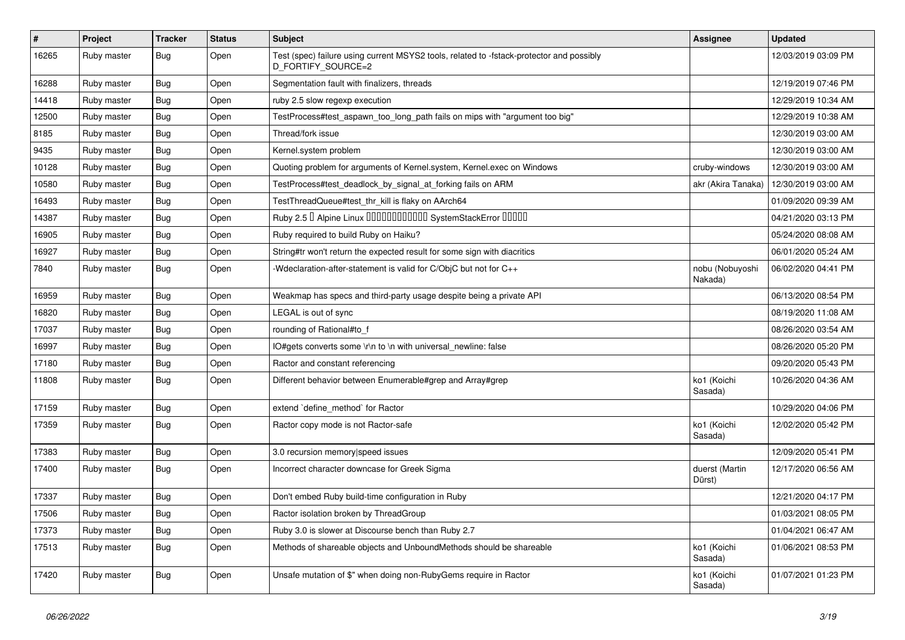| $\#$  | Project     | <b>Tracker</b> | <b>Status</b> | <b>Subject</b>                                                                                                 | Assignee                   | <b>Updated</b>      |
|-------|-------------|----------------|---------------|----------------------------------------------------------------------------------------------------------------|----------------------------|---------------------|
| 16265 | Ruby master | <b>Bug</b>     | Open          | Test (spec) failure using current MSYS2 tools, related to -fstack-protector and possibly<br>D FORTIFY SOURCE=2 |                            | 12/03/2019 03:09 PM |
| 16288 | Ruby master | Bug            | Open          | Segmentation fault with finalizers, threads                                                                    |                            | 12/19/2019 07:46 PM |
| 14418 | Ruby master | Bug            | Open          | ruby 2.5 slow regexp execution                                                                                 |                            | 12/29/2019 10:34 AM |
| 12500 | Ruby master | Bug            | Open          | TestProcess#test aspawn too long path fails on mips with "argument too big"                                    |                            | 12/29/2019 10:38 AM |
| 8185  | Ruby master | Bug            | Open          | Thread/fork issue                                                                                              |                            | 12/30/2019 03:00 AM |
| 9435  | Ruby master | <b>Bug</b>     | Open          | Kernel.system problem                                                                                          |                            | 12/30/2019 03:00 AM |
| 10128 | Ruby master | <b>Bug</b>     | Open          | Quoting problem for arguments of Kernel.system, Kernel.exec on Windows                                         | cruby-windows              | 12/30/2019 03:00 AM |
| 10580 | Ruby master | <b>Bug</b>     | Open          | TestProcess#test_deadlock_by_signal_at_forking fails on ARM                                                    | akr (Akira Tanaka)         | 12/30/2019 03:00 AM |
| 16493 | Ruby master | <b>Bug</b>     | Open          | TestThreadQueue#test_thr_kill is flaky on AArch64                                                              |                            | 01/09/2020 09:39 AM |
| 14387 | Ruby master | Bug            | Open          | Ruby 2.5 <sup>D</sup> Alpine Linux 000000000000 SystemStackError 00000                                         |                            | 04/21/2020 03:13 PM |
| 16905 | Ruby master | <b>Bug</b>     | Open          | Ruby required to build Ruby on Haiku?                                                                          |                            | 05/24/2020 08:08 AM |
| 16927 | Ruby master | <b>Bug</b>     | Open          | String#tr won't return the expected result for some sign with diacritics                                       |                            | 06/01/2020 05:24 AM |
| 7840  | Ruby master | <b>Bug</b>     | Open          | -Wdeclaration-after-statement is valid for C/ObjC but not for C++                                              | nobu (Nobuyoshi<br>Nakada) | 06/02/2020 04:41 PM |
| 16959 | Ruby master | <b>Bug</b>     | Open          | Weakmap has specs and third-party usage despite being a private API                                            |                            | 06/13/2020 08:54 PM |
| 16820 | Ruby master | <b>Bug</b>     | Open          | LEGAL is out of sync                                                                                           |                            | 08/19/2020 11:08 AM |
| 17037 | Ruby master | <b>Bug</b>     | Open          | rounding of Rational#to_f                                                                                      |                            | 08/26/2020 03:54 AM |
| 16997 | Ruby master | <b>Bug</b>     | Open          | IO#gets converts some \r\n to \n with universal_newline: false                                                 |                            | 08/26/2020 05:20 PM |
| 17180 | Ruby master | <b>Bug</b>     | Open          | Ractor and constant referencing                                                                                |                            | 09/20/2020 05:43 PM |
| 11808 | Ruby master | <b>Bug</b>     | Open          | Different behavior between Enumerable#grep and Array#grep                                                      | ko1 (Koichi<br>Sasada)     | 10/26/2020 04:36 AM |
| 17159 | Ruby master | Bug            | Open          | extend `define_method` for Ractor                                                                              |                            | 10/29/2020 04:06 PM |
| 17359 | Ruby master | <b>Bug</b>     | Open          | Ractor copy mode is not Ractor-safe                                                                            | ko1 (Koichi<br>Sasada)     | 12/02/2020 05:42 PM |
| 17383 | Ruby master | <b>Bug</b>     | Open          | 3.0 recursion memory speed issues                                                                              |                            | 12/09/2020 05:41 PM |
| 17400 | Ruby master | <b>Bug</b>     | Open          | Incorrect character downcase for Greek Sigma                                                                   | duerst (Martin<br>Dürst)   | 12/17/2020 06:56 AM |
| 17337 | Ruby master | <b>Bug</b>     | Open          | Don't embed Ruby build-time configuration in Ruby                                                              |                            | 12/21/2020 04:17 PM |
| 17506 | Ruby master | <b>Bug</b>     | Open          | Ractor isolation broken by ThreadGroup                                                                         |                            | 01/03/2021 08:05 PM |
| 17373 | Ruby master | <b>Bug</b>     | Open          | Ruby 3.0 is slower at Discourse bench than Ruby 2.7                                                            |                            | 01/04/2021 06:47 AM |
| 17513 | Ruby master | <b>Bug</b>     | Open          | Methods of shareable objects and UnboundMethods should be shareable                                            | ko1 (Koichi<br>Sasada)     | 01/06/2021 08:53 PM |
| 17420 | Ruby master | <b>Bug</b>     | Open          | Unsafe mutation of \$" when doing non-RubyGems require in Ractor                                               | ko1 (Koichi<br>Sasada)     | 01/07/2021 01:23 PM |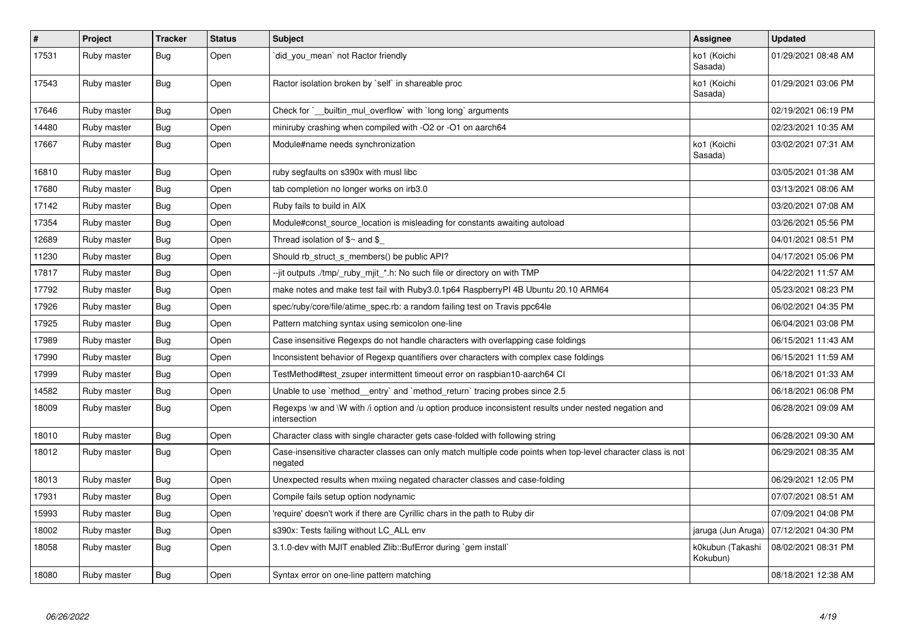| #     | Project     | <b>Tracker</b> | <b>Status</b> | <b>Subject</b>                                                                                                          | Assignee                     | <b>Updated</b>                           |
|-------|-------------|----------------|---------------|-------------------------------------------------------------------------------------------------------------------------|------------------------------|------------------------------------------|
| 17531 | Ruby master | <b>Bug</b>     | Open          | did_you_mean` not Ractor friendly                                                                                       | ko1 (Koichi<br>Sasada)       | 01/29/2021 08:48 AM                      |
| 17543 | Ruby master | Bug            | Open          | Ractor isolation broken by `self` in shareable proc                                                                     | ko1 (Koichi<br>Sasada)       | 01/29/2021 03:06 PM                      |
| 17646 | Ruby master | <b>Bug</b>     | Open          | Check for ` builtin mul overflow with long long arguments                                                               |                              | 02/19/2021 06:19 PM                      |
| 14480 | Ruby master | <b>Bug</b>     | Open          | miniruby crashing when compiled with -O2 or -O1 on aarch64                                                              |                              | 02/23/2021 10:35 AM                      |
| 17667 | Ruby master | Bug            | Open          | Module#name needs synchronization                                                                                       | ko1 (Koichi<br>Sasada)       | 03/02/2021 07:31 AM                      |
| 16810 | Ruby master | Bug            | Open          | ruby segfaults on s390x with musl libc                                                                                  |                              | 03/05/2021 01:38 AM                      |
| 17680 | Ruby master | <b>Bug</b>     | Open          | tab completion no longer works on irb3.0                                                                                |                              | 03/13/2021 08:06 AM                      |
| 17142 | Ruby master | Bug            | Open          | Ruby fails to build in AIX                                                                                              |                              | 03/20/2021 07:08 AM                      |
| 17354 | Ruby master | Bug            | Open          | Module#const_source_location is misleading for constants awaiting autoload                                              |                              | 03/26/2021 05:56 PM                      |
| 12689 | Ruby master | Bug            | Open          | Thread isolation of $\$ \sim$ and $\$$                                                                                  |                              | 04/01/2021 08:51 PM                      |
| 11230 | Ruby master | <b>Bug</b>     | Open          | Should rb_struct_s_members() be public API?                                                                             |                              | 04/17/2021 05:06 PM                      |
| 17817 | Ruby master | Bug            | Open          | --jit outputs ./tmp/_ruby_mjit_*.h: No such file or directory on with TMP                                               |                              | 04/22/2021 11:57 AM                      |
| 17792 | Ruby master | <b>Bug</b>     | Open          | make notes and make test fail with Ruby3.0.1p64 RaspberryPl 4B Ubuntu 20.10 ARM64                                       |                              | 05/23/2021 08:23 PM                      |
| 17926 | Ruby master | <b>Bug</b>     | Open          | spec/ruby/core/file/atime_spec.rb: a random failing test on Travis ppc64le                                              |                              | 06/02/2021 04:35 PM                      |
| 17925 | Ruby master | Bug            | Open          | Pattern matching syntax using semicolon one-line                                                                        |                              | 06/04/2021 03:08 PM                      |
| 17989 | Ruby master | <b>Bug</b>     | Open          | Case insensitive Regexps do not handle characters with overlapping case foldings                                        |                              | 06/15/2021 11:43 AM                      |
| 17990 | Ruby master | Bug            | Open          | Inconsistent behavior of Regexp quantifiers over characters with complex case foldings                                  |                              | 06/15/2021 11:59 AM                      |
| 17999 | Ruby master | <b>Bug</b>     | Open          | TestMethod#test_zsuper intermittent timeout error on raspbian10-aarch64 Cl                                              |                              | 06/18/2021 01:33 AM                      |
| 14582 | Ruby master | Bug            | Open          | Unable to use `method entry` and `method return` tracing probes since 2.5                                               |                              | 06/18/2021 06:08 PM                      |
| 18009 | Ruby master | Bug            | Open          | Regexps \w and \W with /i option and /u option produce inconsistent results under nested negation and<br>intersection   |                              | 06/28/2021 09:09 AM                      |
| 18010 | Ruby master | <b>Bug</b>     | Open          | Character class with single character gets case-folded with following string                                            |                              | 06/28/2021 09:30 AM                      |
| 18012 | Ruby master | <b>Bug</b>     | Open          | Case-insensitive character classes can only match multiple code points when top-level character class is not<br>negated |                              | 06/29/2021 08:35 AM                      |
| 18013 | Ruby master | <b>Bug</b>     | Open          | Unexpected results when mxiing negated character classes and case-folding                                               |                              | 06/29/2021 12:05 PM                      |
| 17931 | Ruby master | Bug            | Open          | Compile fails setup option nodynamic                                                                                    |                              | 07/07/2021 08:51 AM                      |
| 15993 | Ruby master | <b>Bug</b>     | Open          | require' doesn't work if there are Cyrillic chars in the path to Ruby dir                                               |                              | 07/09/2021 04:08 PM                      |
| 18002 | Ruby master | Bug            | Open          | s390x: Tests failing without LC ALL env                                                                                 |                              | jaruga (Jun Aruga)   07/12/2021 04:30 PM |
| 18058 | Ruby master | Bug            | Open          | 3.1.0-dev with MJIT enabled Zlib::BufError during `gem install`                                                         | k0kubun (Takashi<br>Kokubun) | 08/02/2021 08:31 PM                      |
| 18080 | Ruby master | <b>Bug</b>     | Open          | Syntax error on one-line pattern matching                                                                               |                              | 08/18/2021 12:38 AM                      |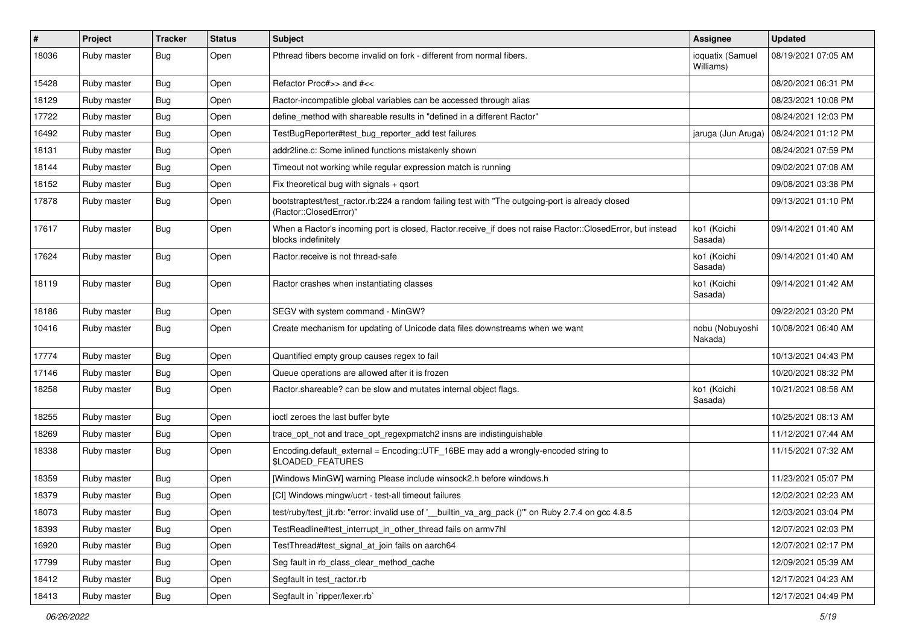| #     | Project     | <b>Tracker</b> | <b>Status</b> | Subject                                                                                                                           | Assignee                      | <b>Updated</b>      |
|-------|-------------|----------------|---------------|-----------------------------------------------------------------------------------------------------------------------------------|-------------------------------|---------------------|
| 18036 | Ruby master | <b>Bug</b>     | Open          | Pthread fibers become invalid on fork - different from normal fibers.                                                             | ioquatix (Samuel<br>Williams) | 08/19/2021 07:05 AM |
| 15428 | Ruby master | <b>Bug</b>     | Open          | Refactor Proc#>> and #<<                                                                                                          |                               | 08/20/2021 06:31 PM |
| 18129 | Ruby master | <b>Bug</b>     | Open          | Ractor-incompatible global variables can be accessed through alias                                                                |                               | 08/23/2021 10:08 PM |
| 17722 | Ruby master | Bug            | Open          | define_method with shareable results in "defined in a different Ractor"                                                           |                               | 08/24/2021 12:03 PM |
| 16492 | Ruby master | Bug            | Open          | TestBugReporter#test_bug_reporter_add test failures                                                                               | jaruga (Jun Aruga)            | 08/24/2021 01:12 PM |
| 18131 | Ruby master | Bug            | Open          | addr2line.c: Some inlined functions mistakenly shown                                                                              |                               | 08/24/2021 07:59 PM |
| 18144 | Ruby master | Bug            | Open          | Timeout not working while regular expression match is running                                                                     |                               | 09/02/2021 07:08 AM |
| 18152 | Ruby master | <b>Bug</b>     | Open          | Fix theoretical bug with signals + qsort                                                                                          |                               | 09/08/2021 03:38 PM |
| 17878 | Ruby master | Bug            | Open          | bootstraptest/test_ractor.rb:224 a random failing test with "The outgoing-port is already closed<br>(Ractor::ClosedError)"        |                               | 09/13/2021 01:10 PM |
| 17617 | Ruby master | <b>Bug</b>     | Open          | When a Ractor's incoming port is closed, Ractor.receive_if does not raise Ractor::ClosedError, but instead<br>blocks indefinitely | ko1 (Koichi<br>Sasada)        | 09/14/2021 01:40 AM |
| 17624 | Ruby master | Bug            | Open          | Ractor.receive is not thread-safe                                                                                                 | ko1 (Koichi<br>Sasada)        | 09/14/2021 01:40 AM |
| 18119 | Ruby master | Bug            | Open          | Ractor crashes when instantiating classes                                                                                         | ko1 (Koichi<br>Sasada)        | 09/14/2021 01:42 AM |
| 18186 | Ruby master | Bug            | Open          | SEGV with system command - MinGW?                                                                                                 |                               | 09/22/2021 03:20 PM |
| 10416 | Ruby master | <b>Bug</b>     | Open          | Create mechanism for updating of Unicode data files downstreams when we want                                                      | nobu (Nobuyoshi<br>Nakada)    | 10/08/2021 06:40 AM |
| 17774 | Ruby master | Bug            | Open          | Quantified empty group causes regex to fail                                                                                       |                               | 10/13/2021 04:43 PM |
| 17146 | Ruby master | <b>Bug</b>     | Open          | Queue operations are allowed after it is frozen                                                                                   |                               | 10/20/2021 08:32 PM |
| 18258 | Ruby master | <b>Bug</b>     | Open          | Ractor shareable? can be slow and mutates internal object flags.                                                                  | ko1 (Koichi<br>Sasada)        | 10/21/2021 08:58 AM |
| 18255 | Ruby master | Bug            | Open          | ioctl zeroes the last buffer byte                                                                                                 |                               | 10/25/2021 08:13 AM |
| 18269 | Ruby master | <b>Bug</b>     | Open          | trace_opt_not and trace_opt_regexpmatch2 insns are indistinguishable                                                              |                               | 11/12/2021 07:44 AM |
| 18338 | Ruby master | Bug            | Open          | Encoding.default_external = Encoding::UTF_16BE may add a wrongly-encoded string to<br>\$LOADED_FEATURES                           |                               | 11/15/2021 07:32 AM |
| 18359 | Ruby master | Bug            | Open          | [Windows MinGW] warning Please include winsock2.h before windows.h                                                                |                               | 11/23/2021 05:07 PM |
| 18379 | Ruby master | <b>Bug</b>     | Open          | [CI] Windows mingw/ucrt - test-all timeout failures                                                                               |                               | 12/02/2021 02:23 AM |
| 18073 | Ruby master | Bug            | Open          | test/ruby/test_jit.rb: "error: invalid use of '__builtin_va_arg_pack ()" on Ruby 2.7.4 on gcc 4.8.5                               |                               | 12/03/2021 03:04 PM |
| 18393 | Ruby master | <b>Bug</b>     | Open          | TestReadline#test_interrupt_in_other_thread fails on armv7hl                                                                      |                               | 12/07/2021 02:03 PM |
| 16920 | Ruby master | <b>Bug</b>     | Open          | TestThread#test_signal_at_join fails on aarch64                                                                                   |                               | 12/07/2021 02:17 PM |
| 17799 | Ruby master | <b>Bug</b>     | Open          | Seg fault in rb_class_clear_method_cache                                                                                          |                               | 12/09/2021 05:39 AM |
| 18412 | Ruby master | <b>Bug</b>     | Open          | Segfault in test ractor.rb                                                                                                        |                               | 12/17/2021 04:23 AM |
| 18413 | Ruby master | <b>Bug</b>     | Open          | Segfault in `ripper/lexer.rb`                                                                                                     |                               | 12/17/2021 04:49 PM |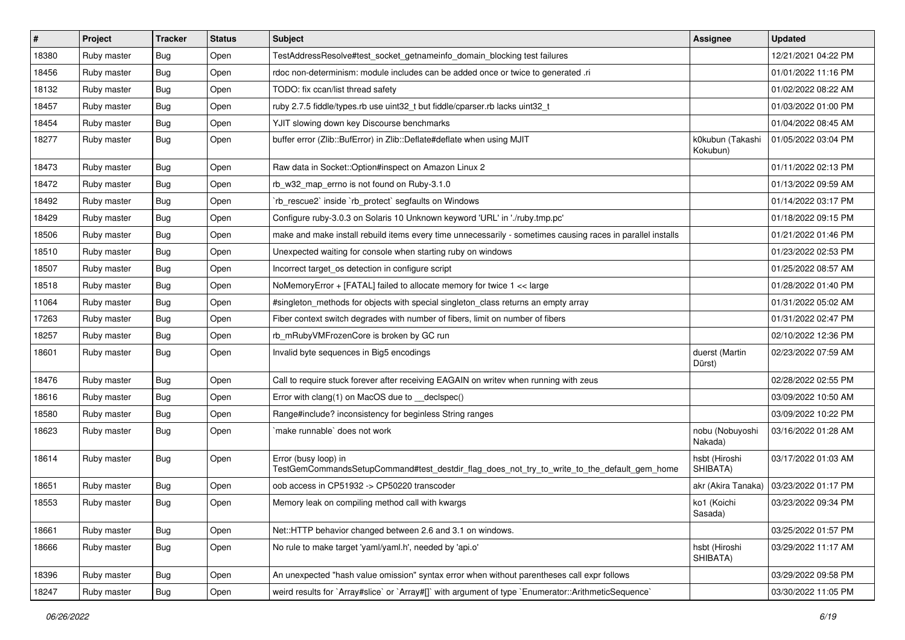| $\sharp$ | Project     | <b>Tracker</b> | <b>Status</b> | Subject                                                                                                             | Assignee                     | <b>Updated</b>      |
|----------|-------------|----------------|---------------|---------------------------------------------------------------------------------------------------------------------|------------------------------|---------------------|
| 18380    | Ruby master | <b>Bug</b>     | Open          | TestAddressResolve#test_socket_getnameinfo_domain_blocking test failures                                            |                              | 12/21/2021 04:22 PM |
| 18456    | Ruby master | <b>Bug</b>     | Open          | rdoc non-determinism: module includes can be added once or twice to generated .ri                                   |                              | 01/01/2022 11:16 PM |
| 18132    | Ruby master | <b>Bug</b>     | Open          | TODO: fix ccan/list thread safety                                                                                   |                              | 01/02/2022 08:22 AM |
| 18457    | Ruby master | <b>Bug</b>     | Open          | ruby 2.7.5 fiddle/types.rb use uint32_t but fiddle/cparser.rb lacks uint32_t                                        |                              | 01/03/2022 01:00 PM |
| 18454    | Ruby master | Bug            | Open          | YJIT slowing down key Discourse benchmarks                                                                          |                              | 01/04/2022 08:45 AM |
| 18277    | Ruby master | <b>Bug</b>     | Open          | buffer error (Zlib::BufError) in Zlib::Deflate#deflate when using MJIT                                              | k0kubun (Takashi<br>Kokubun) | 01/05/2022 03:04 PM |
| 18473    | Ruby master | <b>Bug</b>     | Open          | Raw data in Socket::Option#inspect on Amazon Linux 2                                                                |                              | 01/11/2022 02:13 PM |
| 18472    | Ruby master | <b>Bug</b>     | Open          | rb_w32_map_errno is not found on Ruby-3.1.0                                                                         |                              | 01/13/2022 09:59 AM |
| 18492    | Ruby master | Bug            | Open          | 'rb_rescue2' inside 'rb_protect' segfaults on Windows                                                               |                              | 01/14/2022 03:17 PM |
| 18429    | Ruby master | <b>Bug</b>     | Open          | Configure ruby-3.0.3 on Solaris 10 Unknown keyword 'URL' in './ruby.tmp.pc'                                         |                              | 01/18/2022 09:15 PM |
| 18506    | Ruby master | <b>Bug</b>     | Open          | make and make install rebuild items every time unnecessarily - sometimes causing races in parallel installs         |                              | 01/21/2022 01:46 PM |
| 18510    | Ruby master | <b>Bug</b>     | Open          | Unexpected waiting for console when starting ruby on windows                                                        |                              | 01/23/2022 02:53 PM |
| 18507    | Ruby master | <b>Bug</b>     | Open          | Incorrect target_os detection in configure script                                                                   |                              | 01/25/2022 08:57 AM |
| 18518    | Ruby master | Bug            | Open          | NoMemoryError + [FATAL] failed to allocate memory for twice 1 << large                                              |                              | 01/28/2022 01:40 PM |
| 11064    | Ruby master | <b>Bug</b>     | Open          | #singleton_methods for objects with special singleton_class returns an empty array                                  |                              | 01/31/2022 05:02 AM |
| 17263    | Ruby master | <b>Bug</b>     | Open          | Fiber context switch degrades with number of fibers, limit on number of fibers                                      |                              | 01/31/2022 02:47 PM |
| 18257    | Ruby master | Bug            | Open          | rb_mRubyVMFrozenCore is broken by GC run                                                                            |                              | 02/10/2022 12:36 PM |
| 18601    | Ruby master | <b>Bug</b>     | Open          | Invalid byte sequences in Big5 encodings                                                                            | duerst (Martin<br>Dürst)     | 02/23/2022 07:59 AM |
| 18476    | Ruby master | <b>Bug</b>     | Open          | Call to require stuck forever after receiving EAGAIN on writev when running with zeus                               |                              | 02/28/2022 02:55 PM |
| 18616    | Ruby master | <b>Bug</b>     | Open          | Error with clang(1) on MacOS due to __declspec()                                                                    |                              | 03/09/2022 10:50 AM |
| 18580    | Ruby master | Bug            | Open          | Range#include? inconsistency for beginless String ranges                                                            |                              | 03/09/2022 10:22 PM |
| 18623    | Ruby master | <b>Bug</b>     | Open          | 'make runnable' does not work                                                                                       | nobu (Nobuyoshi<br>Nakada)   | 03/16/2022 01:28 AM |
| 18614    | Ruby master | Bug            | Open          | Error (busy loop) in<br>TestGemCommandsSetupCommand#test_destdir_flag_does_not_try_to_write_to_the_default_gem_home | hsbt (Hiroshi<br>SHIBATA)    | 03/17/2022 01:03 AM |
| 18651    | Ruby master | <b>Bug</b>     | Open          | oob access in CP51932 -> CP50220 transcoder                                                                         | akr (Akira Tanaka)           | 03/23/2022 01:17 PM |
| 18553    | Ruby master | Bug            | Open          | Memory leak on compiling method call with kwargs                                                                    | ko1 (Koichi<br>Sasada)       | 03/23/2022 09:34 PM |
| 18661    | Ruby master | <b>Bug</b>     | Open          | Net::HTTP behavior changed between 2.6 and 3.1 on windows.                                                          |                              | 03/25/2022 01:57 PM |
| 18666    | Ruby master | <b>Bug</b>     | Open          | No rule to make target 'yaml/yaml.h', needed by 'api.o'                                                             | hsbt (Hiroshi<br>SHIBATA)    | 03/29/2022 11:17 AM |
| 18396    | Ruby master | Bug            | Open          | An unexpected "hash value omission" syntax error when without parentheses call expr follows                         |                              | 03/29/2022 09:58 PM |
| 18247    | Ruby master | <b>Bug</b>     | Open          | weird results for `Array#slice` or `Array#[]` with argument of type `Enumerator::ArithmeticSequence`                |                              | 03/30/2022 11:05 PM |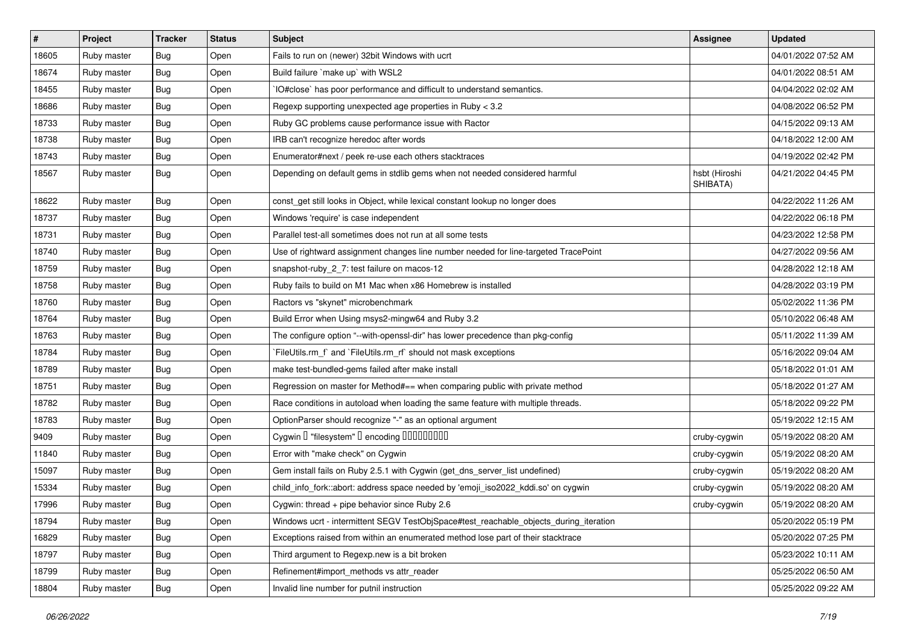| $\pmb{\#}$ | Project     | <b>Tracker</b> | <b>Status</b> | Subject                                                                               | Assignee                  | <b>Updated</b>      |
|------------|-------------|----------------|---------------|---------------------------------------------------------------------------------------|---------------------------|---------------------|
| 18605      | Ruby master | <b>Bug</b>     | Open          | Fails to run on (newer) 32bit Windows with ucrt                                       |                           | 04/01/2022 07:52 AM |
| 18674      | Ruby master | <b>Bug</b>     | Open          | Build failure `make up` with WSL2                                                     |                           | 04/01/2022 08:51 AM |
| 18455      | Ruby master | <b>Bug</b>     | Open          | IO#close` has poor performance and difficult to understand semantics.                 |                           | 04/04/2022 02:02 AM |
| 18686      | Ruby master | <b>Bug</b>     | Open          | Regexp supporting unexpected age properties in Ruby < 3.2                             |                           | 04/08/2022 06:52 PM |
| 18733      | Ruby master | <b>Bug</b>     | Open          | Ruby GC problems cause performance issue with Ractor                                  |                           | 04/15/2022 09:13 AM |
| 18738      | Ruby master | <b>Bug</b>     | Open          | IRB can't recognize heredoc after words                                               |                           | 04/18/2022 12:00 AM |
| 18743      | Ruby master | Bug            | Open          | Enumerator#next / peek re-use each others stacktraces                                 |                           | 04/19/2022 02:42 PM |
| 18567      | Ruby master | <b>Bug</b>     | Open          | Depending on default gems in stdlib gems when not needed considered harmful           | hsbt (Hiroshi<br>SHIBATA) | 04/21/2022 04:45 PM |
| 18622      | Ruby master | <b>Bug</b>     | Open          | const_get still looks in Object, while lexical constant lookup no longer does         |                           | 04/22/2022 11:26 AM |
| 18737      | Ruby master | <b>Bug</b>     | Open          | Windows 'require' is case independent                                                 |                           | 04/22/2022 06:18 PM |
| 18731      | Ruby master | <b>Bug</b>     | Open          | Parallel test-all sometimes does not run at all some tests                            |                           | 04/23/2022 12:58 PM |
| 18740      | Ruby master | <b>Bug</b>     | Open          | Use of rightward assignment changes line number needed for line-targeted TracePoint   |                           | 04/27/2022 09:56 AM |
| 18759      | Ruby master | <b>Bug</b>     | Open          | snapshot-ruby_2_7: test failure on macos-12                                           |                           | 04/28/2022 12:18 AM |
| 18758      | Ruby master | Bug            | Open          | Ruby fails to build on M1 Mac when x86 Homebrew is installed                          |                           | 04/28/2022 03:19 PM |
| 18760      | Ruby master | <b>Bug</b>     | Open          | Ractors vs "skynet" microbenchmark                                                    |                           | 05/02/2022 11:36 PM |
| 18764      | Ruby master | <b>Bug</b>     | Open          | Build Error when Using msys2-mingw64 and Ruby 3.2                                     |                           | 05/10/2022 06:48 AM |
| 18763      | Ruby master | Bug            | Open          | The configure option "--with-openssl-dir" has lower precedence than pkg-config        |                           | 05/11/2022 11:39 AM |
| 18784      | Ruby master | <b>Bug</b>     | Open          | `FileUtils.rm_f` and `FileUtils.rm_rf` should not mask exceptions                     |                           | 05/16/2022 09:04 AM |
| 18789      | Ruby master | <b>Bug</b>     | Open          | make test-bundled-gems failed after make install                                      |                           | 05/18/2022 01:01 AM |
| 18751      | Ruby master | <b>Bug</b>     | Open          | Regression on master for Method#== when comparing public with private method          |                           | 05/18/2022 01:27 AM |
| 18782      | Ruby master | <b>Bug</b>     | Open          | Race conditions in autoload when loading the same feature with multiple threads.      |                           | 05/18/2022 09:22 PM |
| 18783      | Ruby master | Bug            | Open          | OptionParser should recognize "-" as an optional argument                             |                           | 05/19/2022 12:15 AM |
| 9409       | Ruby master | <b>Bug</b>     | Open          | Cygwin I "filesystem" I encoding IIIIIIIIIIIII                                        | cruby-cygwin              | 05/19/2022 08:20 AM |
| 11840      | Ruby master | Bug            | Open          | Error with "make check" on Cygwin                                                     | cruby-cygwin              | 05/19/2022 08:20 AM |
| 15097      | Ruby master | <b>Bug</b>     | Open          | Gem install fails on Ruby 2.5.1 with Cygwin (get_dns_server_list undefined)           | cruby-cygwin              | 05/19/2022 08:20 AM |
| 15334      | Ruby master | <b>Bug</b>     | Open          | child_info_fork::abort: address space needed by 'emoji_iso2022_kddi.so' on cygwin     | cruby-cygwin              | 05/19/2022 08:20 AM |
| 17996      | Ruby master | <b>Bug</b>     | Open          | Cygwin: thread + pipe behavior since Ruby 2.6                                         | cruby-cygwin              | 05/19/2022 08:20 AM |
| 18794      | Ruby master | <b>Bug</b>     | Open          | Windows ucrt - intermittent SEGV TestObjSpace#test_reachable_objects_during_iteration |                           | 05/20/2022 05:19 PM |
| 16829      | Ruby master | Bug            | Open          | Exceptions raised from within an enumerated method lose part of their stacktrace      |                           | 05/20/2022 07:25 PM |
| 18797      | Ruby master | <b>Bug</b>     | Open          | Third argument to Regexp.new is a bit broken                                          |                           | 05/23/2022 10:11 AM |
| 18799      | Ruby master | Bug            | Open          | Refinement#import_methods vs attr_reader                                              |                           | 05/25/2022 06:50 AM |
| 18804      | Ruby master | Bug            | Open          | Invalid line number for putnil instruction                                            |                           | 05/25/2022 09:22 AM |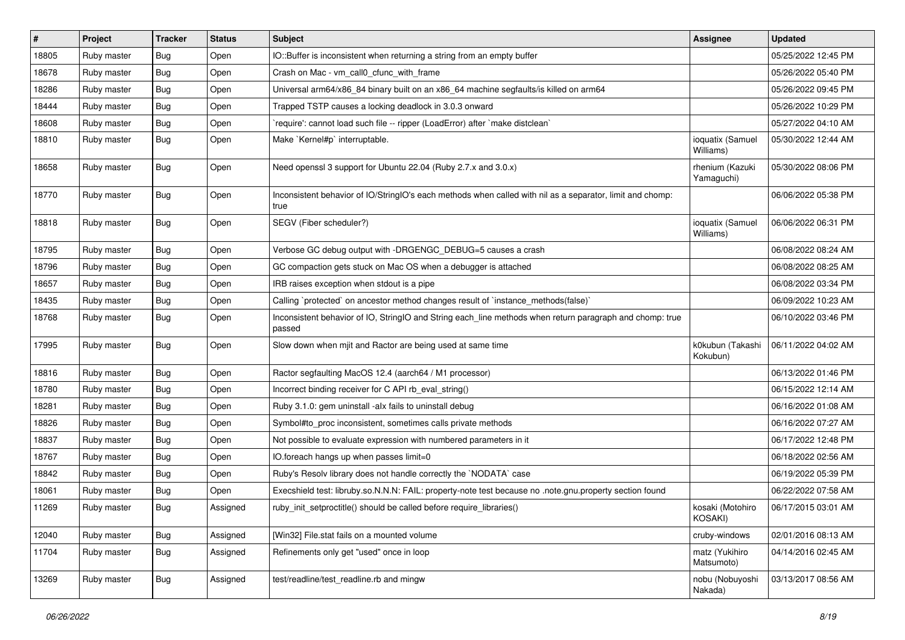| #     | Project     | <b>Tracker</b> | <b>Status</b> | <b>Subject</b>                                                                                                     | Assignee                      | <b>Updated</b>      |
|-------|-------------|----------------|---------------|--------------------------------------------------------------------------------------------------------------------|-------------------------------|---------------------|
| 18805 | Ruby master | <b>Bug</b>     | Open          | IO::Buffer is inconsistent when returning a string from an empty buffer                                            |                               | 05/25/2022 12:45 PM |
| 18678 | Ruby master | <b>Bug</b>     | Open          | Crash on Mac - vm_call0_cfunc_with_frame                                                                           |                               | 05/26/2022 05:40 PM |
| 18286 | Ruby master | <b>Bug</b>     | Open          | Universal arm64/x86_84 binary built on an x86_64 machine segfaults/is killed on arm64                              |                               | 05/26/2022 09:45 PM |
| 18444 | Ruby master | Bug            | Open          | Trapped TSTP causes a locking deadlock in 3.0.3 onward                                                             |                               | 05/26/2022 10:29 PM |
| 18608 | Ruby master | Bug            | Open          | 'require': cannot load such file -- ripper (LoadError) after 'make distclean'                                      |                               | 05/27/2022 04:10 AM |
| 18810 | Ruby master | <b>Bug</b>     | Open          | Make `Kernel#p` interruptable.                                                                                     | ioquatix (Samuel<br>Williams) | 05/30/2022 12:44 AM |
| 18658 | Ruby master | Bug            | Open          | Need openssl 3 support for Ubuntu 22.04 (Ruby 2.7.x and 3.0.x)                                                     | rhenium (Kazuki<br>Yamaguchi) | 05/30/2022 08:06 PM |
| 18770 | Ruby master | <b>Bug</b>     | Open          | Inconsistent behavior of IO/StringIO's each methods when called with nil as a separator, limit and chomp:<br>true  |                               | 06/06/2022 05:38 PM |
| 18818 | Ruby master | <b>Bug</b>     | Open          | SEGV (Fiber scheduler?)                                                                                            | ioquatix (Samuel<br>Williams) | 06/06/2022 06:31 PM |
| 18795 | Ruby master | <b>Bug</b>     | Open          | Verbose GC debug output with -DRGENGC DEBUG=5 causes a crash                                                       |                               | 06/08/2022 08:24 AM |
| 18796 | Ruby master | <b>Bug</b>     | Open          | GC compaction gets stuck on Mac OS when a debugger is attached                                                     |                               | 06/08/2022 08:25 AM |
| 18657 | Ruby master | Bug            | Open          | IRB raises exception when stdout is a pipe                                                                         |                               | 06/08/2022 03:34 PM |
| 18435 | Ruby master | Bug            | Open          | Calling `protected` on ancestor method changes result of `instance_methods(false)`                                 |                               | 06/09/2022 10:23 AM |
| 18768 | Ruby master | Bug            | Open          | Inconsistent behavior of IO, StringIO and String each_line methods when return paragraph and chomp: true<br>passed |                               | 06/10/2022 03:46 PM |
| 17995 | Ruby master | Bug            | Open          | Slow down when mjit and Ractor are being used at same time                                                         | k0kubun (Takashi<br>Kokubun)  | 06/11/2022 04:02 AM |
| 18816 | Ruby master | <b>Bug</b>     | Open          | Ractor segfaulting MacOS 12.4 (aarch64 / M1 processor)                                                             |                               | 06/13/2022 01:46 PM |
| 18780 | Ruby master | <b>Bug</b>     | Open          | Incorrect binding receiver for C API rb_eval_string()                                                              |                               | 06/15/2022 12:14 AM |
| 18281 | Ruby master | <b>Bug</b>     | Open          | Ruby 3.1.0: gem uninstall -alx fails to uninstall debug                                                            |                               | 06/16/2022 01:08 AM |
| 18826 | Ruby master | Bug            | Open          | Symbol#to proc inconsistent, sometimes calls private methods                                                       |                               | 06/16/2022 07:27 AM |
| 18837 | Ruby master | <b>Bug</b>     | Open          | Not possible to evaluate expression with numbered parameters in it                                                 |                               | 06/17/2022 12:48 PM |
| 18767 | Ruby master | Bug            | Open          | IO.foreach hangs up when passes limit=0                                                                            |                               | 06/18/2022 02:56 AM |
| 18842 | Ruby master | <b>Bug</b>     | Open          | Ruby's Resolv library does not handle correctly the `NODATA` case                                                  |                               | 06/19/2022 05:39 PM |
| 18061 | Ruby master | <b>Bug</b>     | Open          | Execshield test: libruby.so.N.N.N: FAIL: property-note test because no .note.gnu.property section found            |                               | 06/22/2022 07:58 AM |
| 11269 | Ruby master | Bug            | Assigned      | ruby_init_setproctitle() should be called before require_libraries()                                               | kosaki (Motohiro<br>KOSAKI)   | 06/17/2015 03:01 AM |
| 12040 | Ruby master | <b>Bug</b>     | Assigned      | [Win32] File.stat fails on a mounted volume                                                                        | cruby-windows                 | 02/01/2016 08:13 AM |
| 11704 | Ruby master | <b>Bug</b>     | Assigned      | Refinements only get "used" once in loop                                                                           | matz (Yukihiro<br>Matsumoto)  | 04/14/2016 02:45 AM |
| 13269 | Ruby master | <b>Bug</b>     | Assigned      | test/readline/test_readline.rb and mingw                                                                           | nobu (Nobuyoshi<br>Nakada)    | 03/13/2017 08:56 AM |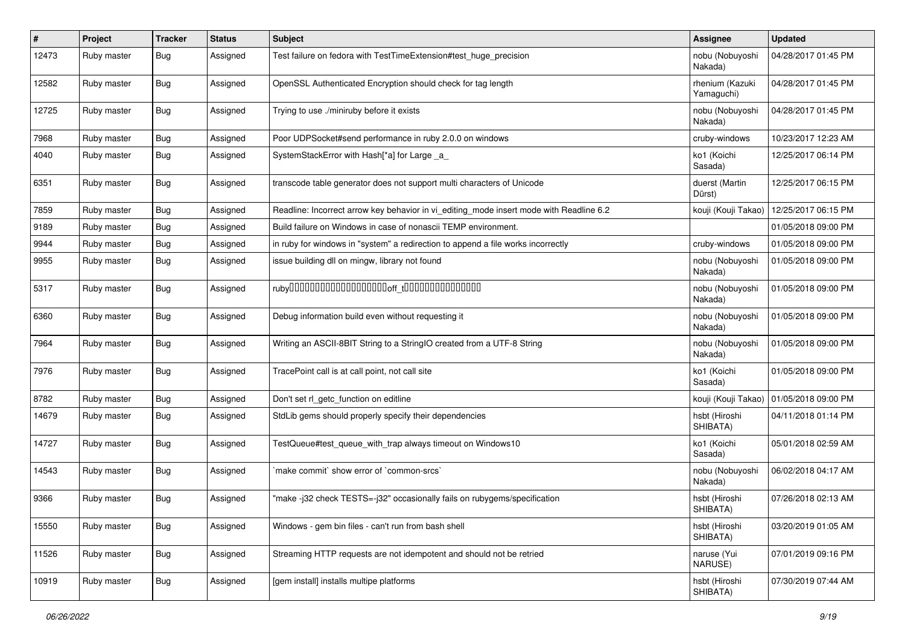| #     | Project     | <b>Tracker</b> | <b>Status</b> | Subject                                                                                 | <b>Assignee</b>               | <b>Updated</b>                            |
|-------|-------------|----------------|---------------|-----------------------------------------------------------------------------------------|-------------------------------|-------------------------------------------|
| 12473 | Ruby master | <b>Bug</b>     | Assigned      | Test failure on fedora with TestTimeExtension#test_huge_precision                       | nobu (Nobuyoshi<br>Nakada)    | 04/28/2017 01:45 PM                       |
| 12582 | Ruby master | <b>Bug</b>     | Assigned      | OpenSSL Authenticated Encryption should check for tag length                            | rhenium (Kazuki<br>Yamaguchi) | 04/28/2017 01:45 PM                       |
| 12725 | Ruby master | Bug            | Assigned      | Trying to use ./miniruby before it exists                                               | nobu (Nobuyoshi<br>Nakada)    | 04/28/2017 01:45 PM                       |
| 7968  | Ruby master | <b>Bug</b>     | Assigned      | Poor UDPSocket#send performance in ruby 2.0.0 on windows                                | cruby-windows                 | 10/23/2017 12:23 AM                       |
| 4040  | Ruby master | <b>Bug</b>     | Assigned      | SystemStackError with Hash[*a] for Large _a                                             | ko1 (Koichi<br>Sasada)        | 12/25/2017 06:14 PM                       |
| 6351  | Ruby master | Bug            | Assigned      | transcode table generator does not support multi characters of Unicode                  | duerst (Martin<br>Dürst)      | 12/25/2017 06:15 PM                       |
| 7859  | Ruby master | <b>Bug</b>     | Assigned      | Readline: Incorrect arrow key behavior in vi_editing_mode insert mode with Readline 6.2 | kouji (Kouji Takao)           | 12/25/2017 06:15 PM                       |
| 9189  | Ruby master | Bug            | Assigned      | Build failure on Windows in case of nonascii TEMP environment.                          |                               | 01/05/2018 09:00 PM                       |
| 9944  | Ruby master | <b>Bug</b>     | Assigned      | in ruby for windows in "system" a redirection to append a file works incorrectly        | cruby-windows                 | 01/05/2018 09:00 PM                       |
| 9955  | Ruby master | <b>Bug</b>     | Assigned      | issue building dll on mingw, library not found                                          | nobu (Nobuyoshi<br>Nakada)    | 01/05/2018 09:00 PM                       |
| 5317  | Ruby master | Bug            | Assigned      |                                                                                         | nobu (Nobuyoshi<br>Nakada)    | 01/05/2018 09:00 PM                       |
| 6360  | Ruby master | <b>Bug</b>     | Assigned      | Debug information build even without requesting it                                      | nobu (Nobuyoshi<br>Nakada)    | 01/05/2018 09:00 PM                       |
| 7964  | Ruby master | Bug            | Assigned      | Writing an ASCII-8BIT String to a StringIO created from a UTF-8 String                  | nobu (Nobuyoshi<br>Nakada)    | 01/05/2018 09:00 PM                       |
| 7976  | Ruby master | <b>Bug</b>     | Assigned      | TracePoint call is at call point, not call site                                         | ko1 (Koichi<br>Sasada)        | 01/05/2018 09:00 PM                       |
| 8782  | Ruby master | <b>Bug</b>     | Assigned      | Don't set rl_getc_function on editline                                                  |                               | kouji (Kouji Takao)   01/05/2018 09:00 PM |
| 14679 | Ruby master | <b>Bug</b>     | Assigned      | StdLib gems should properly specify their dependencies                                  | hsbt (Hiroshi<br>SHIBATA)     | 04/11/2018 01:14 PM                       |
| 14727 | Ruby master | <b>Bug</b>     | Assigned      | TestQueue#test_queue_with_trap always timeout on Windows10                              | ko1 (Koichi<br>Sasada)        | 05/01/2018 02:59 AM                       |
| 14543 | Ruby master | <b>Bug</b>     | Assigned      | `make commit` show error of `common-srcs`                                               | nobu (Nobuyoshi<br>Nakada)    | 06/02/2018 04:17 AM                       |
| 9366  | Ruby master | Bug            | Assigned      | "make -j32 check TESTS=-j32" occasionally fails on rubygems/specification               | hsbt (Hiroshi<br>SHIBATA)     | 07/26/2018 02:13 AM                       |
| 15550 | Ruby master | <b>Bug</b>     | Assigned      | Windows - gem bin files - can't run from bash shell                                     | hsbt (Hiroshi<br>SHIBATA)     | 03/20/2019 01:05 AM                       |
| 11526 | Ruby master | <b>Bug</b>     | Assigned      | Streaming HTTP requests are not idempotent and should not be retried                    | naruse (Yui<br>NARUSE)        | 07/01/2019 09:16 PM                       |
| 10919 | Ruby master | <b>Bug</b>     | Assigned      | [gem install] installs multipe platforms                                                | hsbt (Hiroshi<br>SHIBATA)     | 07/30/2019 07:44 AM                       |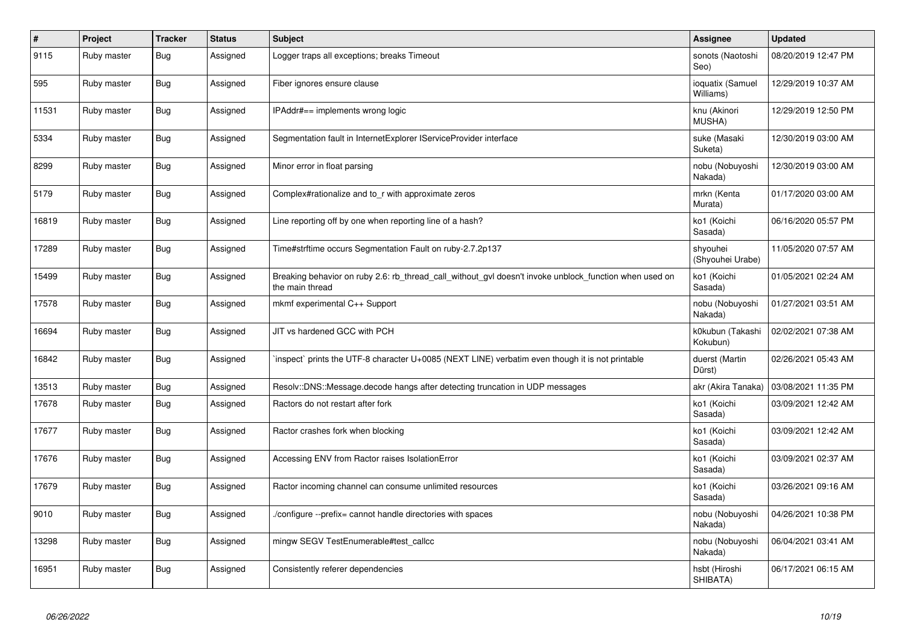| $\#$  | Project     | <b>Tracker</b> | <b>Status</b> | <b>Subject</b>                                                                                                            | Assignee                      | <b>Updated</b>      |
|-------|-------------|----------------|---------------|---------------------------------------------------------------------------------------------------------------------------|-------------------------------|---------------------|
| 9115  | Ruby master | <b>Bug</b>     | Assigned      | Logger traps all exceptions; breaks Timeout                                                                               | sonots (Naotoshi<br>Seo)      | 08/20/2019 12:47 PM |
| 595   | Ruby master | Bug            | Assigned      | Fiber ignores ensure clause                                                                                               | ioquatix (Samuel<br>Williams) | 12/29/2019 10:37 AM |
| 11531 | Ruby master | Bug            | Assigned      | IPAddr#== implements wrong logic                                                                                          | knu (Akinori<br><b>MUSHA)</b> | 12/29/2019 12:50 PM |
| 5334  | Ruby master | <b>Bug</b>     | Assigned      | Segmentation fault in InternetExplorer IServiceProvider interface                                                         | suke (Masaki<br>Suketa)       | 12/30/2019 03:00 AM |
| 8299  | Ruby master | <b>Bug</b>     | Assigned      | Minor error in float parsing                                                                                              | nobu (Nobuyoshi<br>Nakada)    | 12/30/2019 03:00 AM |
| 5179  | Ruby master | <b>Bug</b>     | Assigned      | Complex#rationalize and to_r with approximate zeros                                                                       | mrkn (Kenta<br>Murata)        | 01/17/2020 03:00 AM |
| 16819 | Ruby master | <b>Bug</b>     | Assigned      | Line reporting off by one when reporting line of a hash?                                                                  | ko1 (Koichi<br>Sasada)        | 06/16/2020 05:57 PM |
| 17289 | Ruby master | <b>Bug</b>     | Assigned      | Time#strftime occurs Segmentation Fault on ruby-2.7.2p137                                                                 | shyouhei<br>(Shyouhei Urabe)  | 11/05/2020 07:57 AM |
| 15499 | Ruby master | <b>Bug</b>     | Assigned      | Breaking behavior on ruby 2.6: rb thread call without gyl doesn't invoke unblock function when used on<br>the main thread | ko1 (Koichi<br>Sasada)        | 01/05/2021 02:24 AM |
| 17578 | Ruby master | Bug            | Assigned      | mkmf experimental C++ Support                                                                                             | nobu (Nobuyoshi<br>Nakada)    | 01/27/2021 03:51 AM |
| 16694 | Ruby master | Bug            | Assigned      | JIT vs hardened GCC with PCH                                                                                              | k0kubun (Takashi<br>Kokubun)  | 02/02/2021 07:38 AM |
| 16842 | Ruby master | <b>Bug</b>     | Assigned      | inspect` prints the UTF-8 character U+0085 (NEXT LINE) verbatim even though it is not printable                           | duerst (Martin<br>Dürst)      | 02/26/2021 05:43 AM |
| 13513 | Ruby master | <b>Bug</b>     | Assigned      | Resolv::DNS::Message.decode hangs after detecting truncation in UDP messages                                              | akr (Akira Tanaka)            | 03/08/2021 11:35 PM |
| 17678 | Ruby master | <b>Bug</b>     | Assigned      | Ractors do not restart after fork                                                                                         | ko1 (Koichi<br>Sasada)        | 03/09/2021 12:42 AM |
| 17677 | Ruby master | Bug            | Assigned      | Ractor crashes fork when blocking                                                                                         | ko1 (Koichi<br>Sasada)        | 03/09/2021 12:42 AM |
| 17676 | Ruby master | Bug            | Assigned      | Accessing ENV from Ractor raises IsolationError                                                                           | ko1 (Koichi<br>Sasada)        | 03/09/2021 02:37 AM |
| 17679 | Ruby master | Bug            | Assigned      | Ractor incoming channel can consume unlimited resources                                                                   | ko1 (Koichi<br>Sasada)        | 03/26/2021 09:16 AM |
| 9010  | Ruby master | <b>Bug</b>     | Assigned      | /configure --prefix= cannot handle directories with spaces                                                                | nobu (Nobuyoshi<br>Nakada)    | 04/26/2021 10:38 PM |
| 13298 | Ruby master | Bug            | Assigned      | mingw SEGV TestEnumerable#test_callcc                                                                                     | nobu (Nobuyoshi<br>Nakada)    | 06/04/2021 03:41 AM |
| 16951 | Ruby master | <b>Bug</b>     | Assigned      | Consistently referer dependencies                                                                                         | hsbt (Hiroshi<br>SHIBATA)     | 06/17/2021 06:15 AM |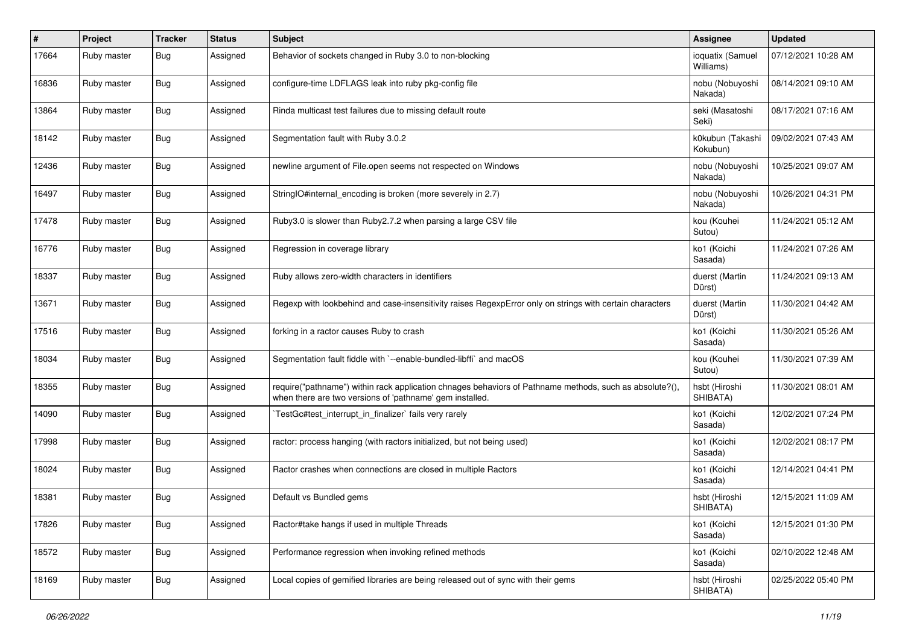| #     | Project     | <b>Tracker</b> | <b>Status</b> | <b>Subject</b>                                                                                                                                                      | Assignee                      | <b>Updated</b>      |
|-------|-------------|----------------|---------------|---------------------------------------------------------------------------------------------------------------------------------------------------------------------|-------------------------------|---------------------|
| 17664 | Ruby master | <b>Bug</b>     | Assigned      | Behavior of sockets changed in Ruby 3.0 to non-blocking                                                                                                             | ioquatix (Samuel<br>Williams) | 07/12/2021 10:28 AM |
| 16836 | Ruby master | <b>Bug</b>     | Assigned      | configure-time LDFLAGS leak into ruby pkg-config file                                                                                                               | nobu (Nobuyoshi<br>Nakada)    | 08/14/2021 09:10 AM |
| 13864 | Ruby master | <b>Bug</b>     | Assigned      | Rinda multicast test failures due to missing default route                                                                                                          | seki (Masatoshi<br>Seki)      | 08/17/2021 07:16 AM |
| 18142 | Ruby master | <b>Bug</b>     | Assigned      | Segmentation fault with Ruby 3.0.2                                                                                                                                  | k0kubun (Takashi<br>Kokubun)  | 09/02/2021 07:43 AM |
| 12436 | Ruby master | Bug            | Assigned      | newline argument of File.open seems not respected on Windows                                                                                                        | nobu (Nobuyoshi<br>Nakada)    | 10/25/2021 09:07 AM |
| 16497 | Ruby master | Bug            | Assigned      | StringIO#internal_encoding is broken (more severely in 2.7)                                                                                                         | nobu (Nobuyoshi<br>Nakada)    | 10/26/2021 04:31 PM |
| 17478 | Ruby master | Bug            | Assigned      | Ruby3.0 is slower than Ruby2.7.2 when parsing a large CSV file                                                                                                      | kou (Kouhei<br>Sutou)         | 11/24/2021 05:12 AM |
| 16776 | Ruby master | Bug            | Assigned      | Regression in coverage library                                                                                                                                      | ko1 (Koichi<br>Sasada)        | 11/24/2021 07:26 AM |
| 18337 | Ruby master | <b>Bug</b>     | Assigned      | Ruby allows zero-width characters in identifiers                                                                                                                    | duerst (Martin<br>Dürst)      | 11/24/2021 09:13 AM |
| 13671 | Ruby master | Bug            | Assigned      | Regexp with lookbehind and case-insensitivity raises RegexpError only on strings with certain characters                                                            | duerst (Martin<br>Dürst)      | 11/30/2021 04:42 AM |
| 17516 | Ruby master | <b>Bug</b>     | Assigned      | forking in a ractor causes Ruby to crash                                                                                                                            | ko1 (Koichi<br>Sasada)        | 11/30/2021 05:26 AM |
| 18034 | Ruby master | Bug            | Assigned      | Segmentation fault fiddle with `--enable-bundled-libffi` and macOS                                                                                                  | kou (Kouhei<br>Sutou)         | 11/30/2021 07:39 AM |
| 18355 | Ruby master | Bug            | Assigned      | require("pathname") within rack application chnages behaviors of Pathname methods, such as absolute?(),<br>when there are two versions of 'pathname' gem installed. | hsbt (Hiroshi<br>SHIBATA)     | 11/30/2021 08:01 AM |
| 14090 | Ruby master | Bug            | Assigned      | TestGc#test_interrupt_in_finalizer` fails very rarely                                                                                                               | ko1 (Koichi<br>Sasada)        | 12/02/2021 07:24 PM |
| 17998 | Ruby master | Bug            | Assigned      | ractor: process hanging (with ractors initialized, but not being used)                                                                                              | ko1 (Koichi<br>Sasada)        | 12/02/2021 08:17 PM |
| 18024 | Ruby master | <b>Bug</b>     | Assigned      | Ractor crashes when connections are closed in multiple Ractors                                                                                                      | ko1 (Koichi<br>Sasada)        | 12/14/2021 04:41 PM |
| 18381 | Ruby master | Bug            | Assigned      | Default vs Bundled gems                                                                                                                                             | hsbt (Hiroshi<br>SHIBATA)     | 12/15/2021 11:09 AM |
| 17826 | Ruby master | <b>Bug</b>     | Assigned      | Ractor#take hangs if used in multiple Threads                                                                                                                       | ko1 (Koichi<br>Sasada)        | 12/15/2021 01:30 PM |
| 18572 | Ruby master | <b>Bug</b>     | Assigned      | Performance regression when invoking refined methods                                                                                                                | ko1 (Koichi<br>Sasada)        | 02/10/2022 12:48 AM |
| 18169 | Ruby master | <b>Bug</b>     | Assigned      | Local copies of gemified libraries are being released out of sync with their gems                                                                                   | hsbt (Hiroshi<br>SHIBATA)     | 02/25/2022 05:40 PM |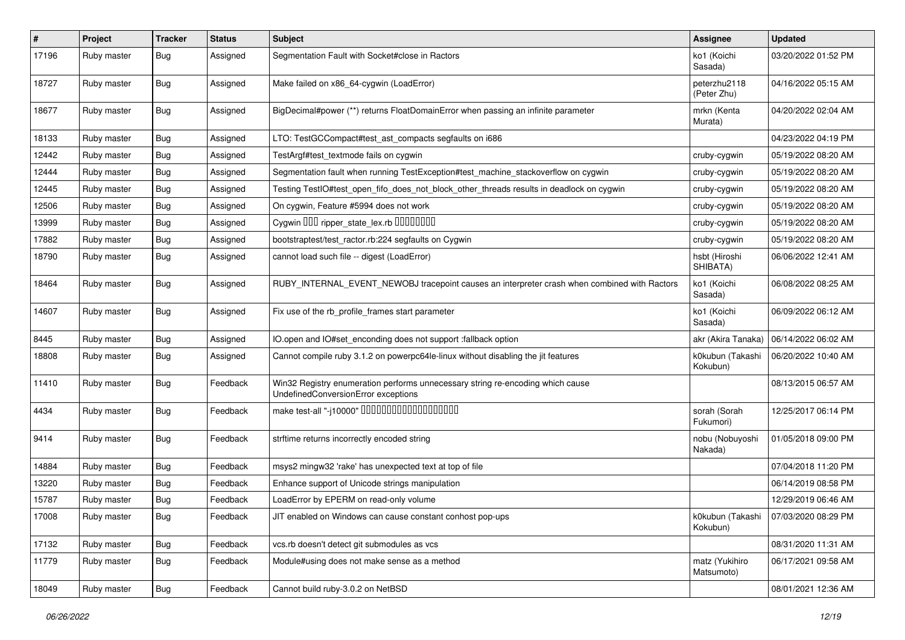| ∦     | Project     | <b>Tracker</b> | <b>Status</b> | <b>Subject</b>                                                                                                        | <b>Assignee</b>              | <b>Updated</b>      |
|-------|-------------|----------------|---------------|-----------------------------------------------------------------------------------------------------------------------|------------------------------|---------------------|
| 17196 | Ruby master | Bug            | Assigned      | Segmentation Fault with Socket#close in Ractors                                                                       | ko1 (Koichi<br>Sasada)       | 03/20/2022 01:52 PM |
| 18727 | Ruby master | Bug            | Assigned      | Make failed on x86_64-cygwin (LoadError)                                                                              | peterzhu2118<br>(Peter Zhu)  | 04/16/2022 05:15 AM |
| 18677 | Ruby master | <b>Bug</b>     | Assigned      | BigDecimal#power (**) returns FloatDomainError when passing an infinite parameter                                     | mrkn (Kenta<br>Murata)       | 04/20/2022 02:04 AM |
| 18133 | Ruby master | Bug            | Assigned      | LTO: TestGCCompact#test_ast_compacts segfaults on i686                                                                |                              | 04/23/2022 04:19 PM |
| 12442 | Ruby master | <b>Bug</b>     | Assigned      | TestArgf#test_textmode fails on cygwin                                                                                | cruby-cygwin                 | 05/19/2022 08:20 AM |
| 12444 | Ruby master | <b>Bug</b>     | Assigned      | Segmentation fault when running TestException#test_machine_stackoverflow on cygwin                                    | cruby-cygwin                 | 05/19/2022 08:20 AM |
| 12445 | Ruby master | Bug            | Assigned      | Testing TestIO#test_open_fifo_does_not_block_other_threads results in deadlock on cygwin                              | cruby-cygwin                 | 05/19/2022 08:20 AM |
| 12506 | Ruby master | Bug            | Assigned      | On cygwin, Feature #5994 does not work                                                                                | cruby-cygwin                 | 05/19/2022 08:20 AM |
| 13999 | Ruby master | Bug            | Assigned      | Cygwin DDD ripper_state_lex.rb DDDDDDDD                                                                               | cruby-cygwin                 | 05/19/2022 08:20 AM |
| 17882 | Ruby master | Bug            | Assigned      | bootstraptest/test_ractor.rb:224 segfaults on Cygwin                                                                  | cruby-cygwin                 | 05/19/2022 08:20 AM |
| 18790 | Ruby master | Bug            | Assigned      | cannot load such file -- digest (LoadError)                                                                           | hsbt (Hiroshi<br>SHIBATA)    | 06/06/2022 12:41 AM |
| 18464 | Ruby master | Bug            | Assigned      | RUBY_INTERNAL_EVENT_NEWOBJ tracepoint causes an interpreter crash when combined with Ractors                          | ko1 (Koichi<br>Sasada)       | 06/08/2022 08:25 AM |
| 14607 | Ruby master | <b>Bug</b>     | Assigned      | Fix use of the rb_profile_frames start parameter                                                                      | ko1 (Koichi<br>Sasada)       | 06/09/2022 06:12 AM |
| 8445  | Ruby master | Bug            | Assigned      | IO.open and IO#set_enconding does not support :fallback option                                                        | akr (Akira Tanaka)           | 06/14/2022 06:02 AM |
| 18808 | Ruby master | <b>Bug</b>     | Assigned      | Cannot compile ruby 3.1.2 on powerpc64le-linux without disabling the jit features                                     | k0kubun (Takashi<br>Kokubun) | 06/20/2022 10:40 AM |
| 11410 | Ruby master | Bug            | Feedback      | Win32 Registry enumeration performs unnecessary string re-encoding which cause<br>UndefinedConversionError exceptions |                              | 08/13/2015 06:57 AM |
| 4434  | Ruby master | <b>Bug</b>     | Feedback      |                                                                                                                       | sorah (Sorah<br>Fukumori)    | 12/25/2017 06:14 PM |
| 9414  | Ruby master | Bug            | Feedback      | strftime returns incorrectly encoded string                                                                           | nobu (Nobuyoshi<br>Nakada)   | 01/05/2018 09:00 PM |
| 14884 | Ruby master | Bug            | Feedback      | msys2 mingw32 'rake' has unexpected text at top of file                                                               |                              | 07/04/2018 11:20 PM |
| 13220 | Ruby master | Bug            | Feedback      | Enhance support of Unicode strings manipulation                                                                       |                              | 06/14/2019 08:58 PM |
| 15787 | Ruby master | <b>Bug</b>     | Feedback      | LoadError by EPERM on read-only volume                                                                                |                              | 12/29/2019 06:46 AM |
| 17008 | Ruby master | <b>Bug</b>     | Feedback      | JIT enabled on Windows can cause constant conhost pop-ups                                                             | k0kubun (Takashi<br>Kokubun) | 07/03/2020 08:29 PM |
| 17132 | Ruby master | <b>Bug</b>     | Feedback      | vcs.rb doesn't detect git submodules as vcs                                                                           |                              | 08/31/2020 11:31 AM |
| 11779 | Ruby master | <b>Bug</b>     | Feedback      | Module#using does not make sense as a method                                                                          | matz (Yukihiro<br>Matsumoto) | 06/17/2021 09:58 AM |
| 18049 | Ruby master | <b>Bug</b>     | Feedback      | Cannot build ruby-3.0.2 on NetBSD                                                                                     |                              | 08/01/2021 12:36 AM |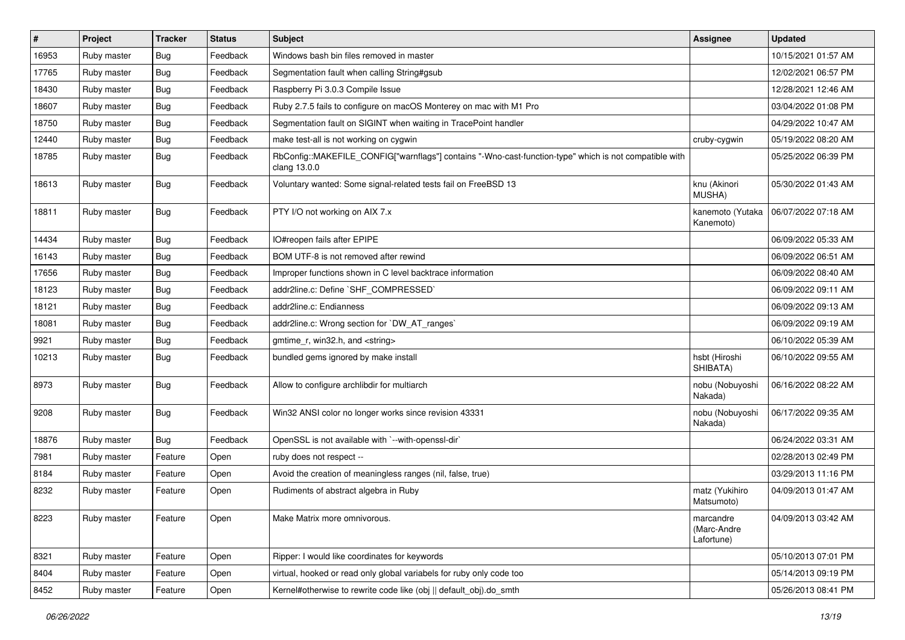| #     | Project     | <b>Tracker</b> | <b>Status</b> | <b>Subject</b>                                                                                                         | Assignee                               | <b>Updated</b>      |
|-------|-------------|----------------|---------------|------------------------------------------------------------------------------------------------------------------------|----------------------------------------|---------------------|
| 16953 | Ruby master | Bug            | Feedback      | Windows bash bin files removed in master                                                                               |                                        | 10/15/2021 01:57 AM |
| 17765 | Ruby master | Bug            | Feedback      | Segmentation fault when calling String#gsub                                                                            |                                        | 12/02/2021 06:57 PM |
| 18430 | Ruby master | <b>Bug</b>     | Feedback      | Raspberry Pi 3.0.3 Compile Issue                                                                                       |                                        | 12/28/2021 12:46 AM |
| 18607 | Ruby master | <b>Bug</b>     | Feedback      | Ruby 2.7.5 fails to configure on macOS Monterey on mac with M1 Pro                                                     |                                        | 03/04/2022 01:08 PM |
| 18750 | Ruby master | Bug            | Feedback      | Segmentation fault on SIGINT when waiting in TracePoint handler                                                        |                                        | 04/29/2022 10:47 AM |
| 12440 | Ruby master | <b>Bug</b>     | Feedback      | make test-all is not working on cygwin                                                                                 | cruby-cygwin                           | 05/19/2022 08:20 AM |
| 18785 | Ruby master | <b>Bug</b>     | Feedback      | RbConfig::MAKEFILE_CONFIG["warnflags"] contains "-Wno-cast-function-type" which is not compatible with<br>clang 13.0.0 |                                        | 05/25/2022 06:39 PM |
| 18613 | Ruby master | Bug            | Feedback      | Voluntary wanted: Some signal-related tests fail on FreeBSD 13                                                         | knu (Akinori<br>MUSHA)                 | 05/30/2022 01:43 AM |
| 18811 | Ruby master | Bug            | Feedback      | PTY I/O not working on AIX 7.x                                                                                         | kanemoto (Yutaka<br>Kanemoto)          | 06/07/2022 07:18 AM |
| 14434 | Ruby master | Bug            | Feedback      | IO#reopen fails after EPIPE                                                                                            |                                        | 06/09/2022 05:33 AM |
| 16143 | Ruby master | Bug            | Feedback      | BOM UTF-8 is not removed after rewind                                                                                  |                                        | 06/09/2022 06:51 AM |
| 17656 | Ruby master | <b>Bug</b>     | Feedback      | Improper functions shown in C level backtrace information                                                              |                                        | 06/09/2022 08:40 AM |
| 18123 | Ruby master | <b>Bug</b>     | Feedback      | addr2line.c: Define `SHF_COMPRESSED`                                                                                   |                                        | 06/09/2022 09:11 AM |
| 18121 | Ruby master | <b>Bug</b>     | Feedback      | addr2line.c: Endianness                                                                                                |                                        | 06/09/2022 09:13 AM |
| 18081 | Ruby master | Bug            | Feedback      | addr2line.c: Wrong section for `DW_AT_ranges`                                                                          |                                        | 06/09/2022 09:19 AM |
| 9921  | Ruby master | <b>Bug</b>     | Feedback      | gmtime_r, win32.h, and <string></string>                                                                               |                                        | 06/10/2022 05:39 AM |
| 10213 | Ruby master | Bug            | Feedback      | bundled gems ignored by make install                                                                                   | hsbt (Hiroshi<br>SHIBATA)              | 06/10/2022 09:55 AM |
| 8973  | Ruby master | Bug            | Feedback      | Allow to configure archlibdir for multiarch                                                                            | nobu (Nobuyoshi<br>Nakada)             | 06/16/2022 08:22 AM |
| 9208  | Ruby master | Bug            | Feedback      | Win32 ANSI color no longer works since revision 43331                                                                  | nobu (Nobuyoshi<br>Nakada)             | 06/17/2022 09:35 AM |
| 18876 | Ruby master | Bug            | Feedback      | OpenSSL is not available with `--with-openssl-dir`                                                                     |                                        | 06/24/2022 03:31 AM |
| 7981  | Ruby master | Feature        | Open          | ruby does not respect --                                                                                               |                                        | 02/28/2013 02:49 PM |
| 8184  | Ruby master | Feature        | Open          | Avoid the creation of meaningless ranges (nil, false, true)                                                            |                                        | 03/29/2013 11:16 PM |
| 8232  | Ruby master | Feature        | Open          | Rudiments of abstract algebra in Ruby                                                                                  | matz (Yukihiro<br>Matsumoto)           | 04/09/2013 01:47 AM |
| 8223  | Ruby master | Feature        | Open          | Make Matrix more omnivorous.                                                                                           | marcandre<br>(Marc-Andre<br>Lafortune) | 04/09/2013 03:42 AM |
| 8321  | Ruby master | Feature        | Open          | Ripper: I would like coordinates for keywords                                                                          |                                        | 05/10/2013 07:01 PM |
| 8404  | Ruby master | Feature        | Open          | virtual, hooked or read only global variabels for ruby only code too                                                   |                                        | 05/14/2013 09:19 PM |
| 8452  | Ruby master | Feature        | Open          | Kernel#otherwise to rewrite code like (obj    default_obj).do_smth                                                     |                                        | 05/26/2013 08:41 PM |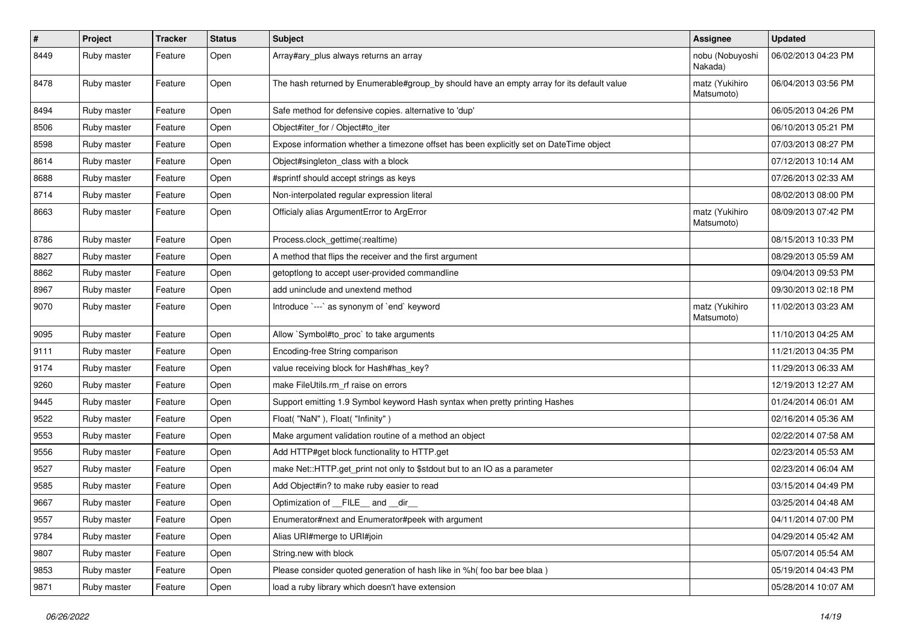| $\pmb{\#}$ | Project     | <b>Tracker</b> | <b>Status</b> | <b>Subject</b>                                                                            | <b>Assignee</b>              | <b>Updated</b>      |
|------------|-------------|----------------|---------------|-------------------------------------------------------------------------------------------|------------------------------|---------------------|
| 8449       | Ruby master | Feature        | Open          | Array#ary_plus always returns an array                                                    | nobu (Nobuyoshi<br>Nakada)   | 06/02/2013 04:23 PM |
| 8478       | Ruby master | Feature        | Open          | The hash returned by Enumerable#group_by should have an empty array for its default value | matz (Yukihiro<br>Matsumoto) | 06/04/2013 03:56 PM |
| 8494       | Ruby master | Feature        | Open          | Safe method for defensive copies. alternative to 'dup'                                    |                              | 06/05/2013 04:26 PM |
| 8506       | Ruby master | Feature        | Open          | Object#iter_for / Object#to_iter                                                          |                              | 06/10/2013 05:21 PM |
| 8598       | Ruby master | Feature        | Open          | Expose information whether a timezone offset has been explicitly set on DateTime object   |                              | 07/03/2013 08:27 PM |
| 8614       | Ruby master | Feature        | Open          | Object#singleton_class with a block                                                       |                              | 07/12/2013 10:14 AM |
| 8688       | Ruby master | Feature        | Open          | #sprintf should accept strings as keys                                                    |                              | 07/26/2013 02:33 AM |
| 8714       | Ruby master | Feature        | Open          | Non-interpolated regular expression literal                                               |                              | 08/02/2013 08:00 PM |
| 8663       | Ruby master | Feature        | Open          | Officialy alias ArgumentError to ArgError                                                 | matz (Yukihiro<br>Matsumoto) | 08/09/2013 07:42 PM |
| 8786       | Ruby master | Feature        | Open          | Process.clock_gettime(:realtime)                                                          |                              | 08/15/2013 10:33 PM |
| 8827       | Ruby master | Feature        | Open          | A method that flips the receiver and the first argument                                   |                              | 08/29/2013 05:59 AM |
| 8862       | Ruby master | Feature        | Open          | getoptlong to accept user-provided commandline                                            |                              | 09/04/2013 09:53 PM |
| 8967       | Ruby master | Feature        | Open          | add uninclude and unextend method                                                         |                              | 09/30/2013 02:18 PM |
| 9070       | Ruby master | Feature        | Open          | Introduce `---` as synonym of `end` keyword                                               | matz (Yukihiro<br>Matsumoto) | 11/02/2013 03:23 AM |
| 9095       | Ruby master | Feature        | Open          | Allow `Symbol#to_proc` to take arguments                                                  |                              | 11/10/2013 04:25 AM |
| 9111       | Ruby master | Feature        | Open          | Encoding-free String comparison                                                           |                              | 11/21/2013 04:35 PM |
| 9174       | Ruby master | Feature        | Open          | value receiving block for Hash#has_key?                                                   |                              | 11/29/2013 06:33 AM |
| 9260       | Ruby master | Feature        | Open          | make FileUtils.rm rf raise on errors                                                      |                              | 12/19/2013 12:27 AM |
| 9445       | Ruby master | Feature        | Open          | Support emitting 1.9 Symbol keyword Hash syntax when pretty printing Hashes               |                              | 01/24/2014 06:01 AM |
| 9522       | Ruby master | Feature        | Open          | Float("NaN"), Float("Infinity")                                                           |                              | 02/16/2014 05:36 AM |
| 9553       | Ruby master | Feature        | Open          | Make argument validation routine of a method an object                                    |                              | 02/22/2014 07:58 AM |
| 9556       | Ruby master | Feature        | Open          | Add HTTP#get block functionality to HTTP.get                                              |                              | 02/23/2014 05:53 AM |
| 9527       | Ruby master | Feature        | Open          | make Net::HTTP.get_print not only to \$stdout but to an IO as a parameter                 |                              | 02/23/2014 06:04 AM |
| 9585       | Ruby master | Feature        | Open          | Add Object#in? to make ruby easier to read                                                |                              | 03/15/2014 04:49 PM |
| 9667       | Ruby master | Feature        | Open          | Optimization of __FILE__ and __dir__                                                      |                              | 03/25/2014 04:48 AM |
| 9557       | Ruby master | Feature        | Open          | Enumerator#next and Enumerator#peek with argument                                         |                              | 04/11/2014 07:00 PM |
| 9784       | Ruby master | Feature        | Open          | Alias URI#merge to URI#join                                                               |                              | 04/29/2014 05:42 AM |
| 9807       | Ruby master | Feature        | Open          | String.new with block                                                                     |                              | 05/07/2014 05:54 AM |
| 9853       | Ruby master | Feature        | Open          | Please consider quoted generation of hash like in %h( foo bar bee blaa)                   |                              | 05/19/2014 04:43 PM |
| 9871       | Ruby master | Feature        | Open          | load a ruby library which doesn't have extension                                          |                              | 05/28/2014 10:07 AM |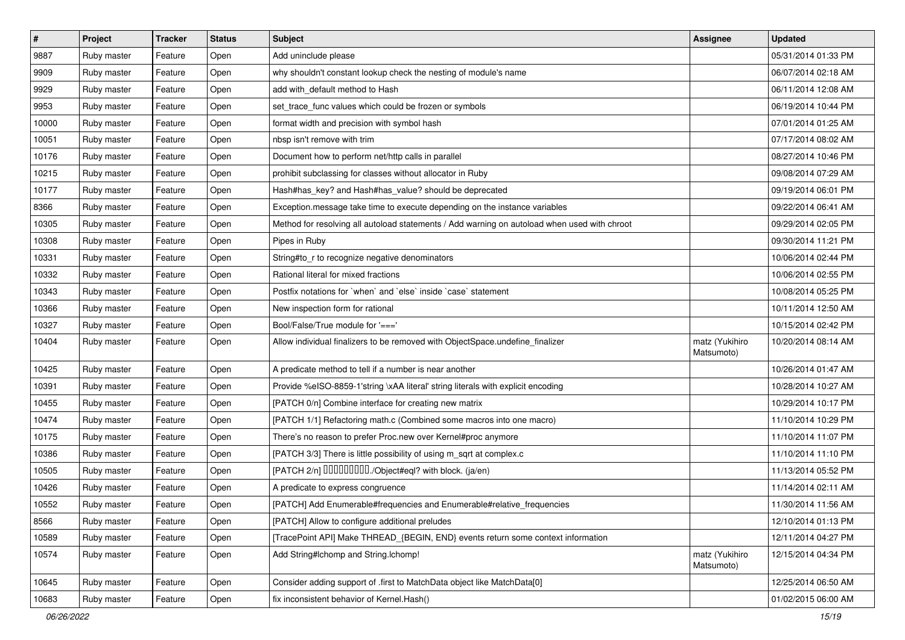| $\vert$ # | Project     | <b>Tracker</b> | <b>Status</b> | <b>Subject</b>                                                                               | Assignee                     | <b>Updated</b>      |
|-----------|-------------|----------------|---------------|----------------------------------------------------------------------------------------------|------------------------------|---------------------|
| 9887      | Ruby master | Feature        | Open          | Add uninclude please                                                                         |                              | 05/31/2014 01:33 PM |
| 9909      | Ruby master | Feature        | Open          | why shouldn't constant lookup check the nesting of module's name                             |                              | 06/07/2014 02:18 AM |
| 9929      | Ruby master | Feature        | Open          | add with_default method to Hash                                                              |                              | 06/11/2014 12:08 AM |
| 9953      | Ruby master | Feature        | Open          | set_trace_func values which could be frozen or symbols                                       |                              | 06/19/2014 10:44 PM |
| 10000     | Ruby master | Feature        | Open          | format width and precision with symbol hash                                                  |                              | 07/01/2014 01:25 AM |
| 10051     | Ruby master | Feature        | Open          | nbsp isn't remove with trim                                                                  |                              | 07/17/2014 08:02 AM |
| 10176     | Ruby master | Feature        | Open          | Document how to perform net/http calls in parallel                                           |                              | 08/27/2014 10:46 PM |
| 10215     | Ruby master | Feature        | Open          | prohibit subclassing for classes without allocator in Ruby                                   |                              | 09/08/2014 07:29 AM |
| 10177     | Ruby master | Feature        | Open          | Hash#has_key? and Hash#has_value? should be deprecated                                       |                              | 09/19/2014 06:01 PM |
| 8366      | Ruby master | Feature        | Open          | Exception.message take time to execute depending on the instance variables                   |                              | 09/22/2014 06:41 AM |
| 10305     | Ruby master | Feature        | Open          | Method for resolving all autoload statements / Add warning on autoload when used with chroot |                              | 09/29/2014 02:05 PM |
| 10308     | Ruby master | Feature        | Open          | Pipes in Ruby                                                                                |                              | 09/30/2014 11:21 PM |
| 10331     | Ruby master | Feature        | Open          | String#to_r to recognize negative denominators                                               |                              | 10/06/2014 02:44 PM |
| 10332     | Ruby master | Feature        | Open          | Rational literal for mixed fractions                                                         |                              | 10/06/2014 02:55 PM |
| 10343     | Ruby master | Feature        | Open          | Postfix notations for `when` and `else` inside `case` statement                              |                              | 10/08/2014 05:25 PM |
| 10366     | Ruby master | Feature        | Open          | New inspection form for rational                                                             |                              | 10/11/2014 12:50 AM |
| 10327     | Ruby master | Feature        | Open          | Bool/False/True module for '==='                                                             |                              | 10/15/2014 02:42 PM |
| 10404     | Ruby master | Feature        | Open          | Allow individual finalizers to be removed with ObjectSpace.undefine_finalizer                | matz (Yukihiro<br>Matsumoto) | 10/20/2014 08:14 AM |
| 10425     | Ruby master | Feature        | Open          | A predicate method to tell if a number is near another                                       |                              | 10/26/2014 01:47 AM |
| 10391     | Ruby master | Feature        | Open          | Provide %eISO-8859-1'string \xAA literal' string literals with explicit encoding             |                              | 10/28/2014 10:27 AM |
| 10455     | Ruby master | Feature        | Open          | [PATCH 0/n] Combine interface for creating new matrix                                        |                              | 10/29/2014 10:17 PM |
| 10474     | Ruby master | Feature        | Open          | [PATCH 1/1] Refactoring math.c (Combined some macros into one macro)                         |                              | 11/10/2014 10:29 PM |
| 10175     | Ruby master | Feature        | Open          | There's no reason to prefer Proc.new over Kernel#proc anymore                                |                              | 11/10/2014 11:07 PM |
| 10386     | Ruby master | Feature        | Open          | [PATCH 3/3] There is little possibility of using m_sqrt at complex.c                         |                              | 11/10/2014 11:10 PM |
| 10505     | Ruby master | Feature        | Open          | [PATCH 2/n] DDDDDDDD./Object#eql? with block. (ja/en)                                        |                              | 11/13/2014 05:52 PM |
| 10426     | Ruby master | Feature        | Open          | A predicate to express congruence                                                            |                              | 11/14/2014 02:11 AM |
| 10552     | Ruby master | Feature        | Open          | [PATCH] Add Enumerable#frequencies and Enumerable#relative_frequencies                       |                              | 11/30/2014 11:56 AM |
| 8566      | Ruby master | Feature        | Open          | [PATCH] Allow to configure additional preludes                                               |                              | 12/10/2014 01:13 PM |
| 10589     | Ruby master | Feature        | Open          | [TracePoint API] Make THREAD {BEGIN, END} events return some context information             |                              | 12/11/2014 04:27 PM |
| 10574     | Ruby master | Feature        | Open          | Add String#Ichomp and String.Ichomp!                                                         | matz (Yukihiro<br>Matsumoto) | 12/15/2014 04:34 PM |
| 10645     | Ruby master | Feature        | Open          | Consider adding support of .first to MatchData object like MatchData[0]                      |                              | 12/25/2014 06:50 AM |
| 10683     | Ruby master | Feature        | Open          | fix inconsistent behavior of Kernel.Hash()                                                   |                              | 01/02/2015 06:00 AM |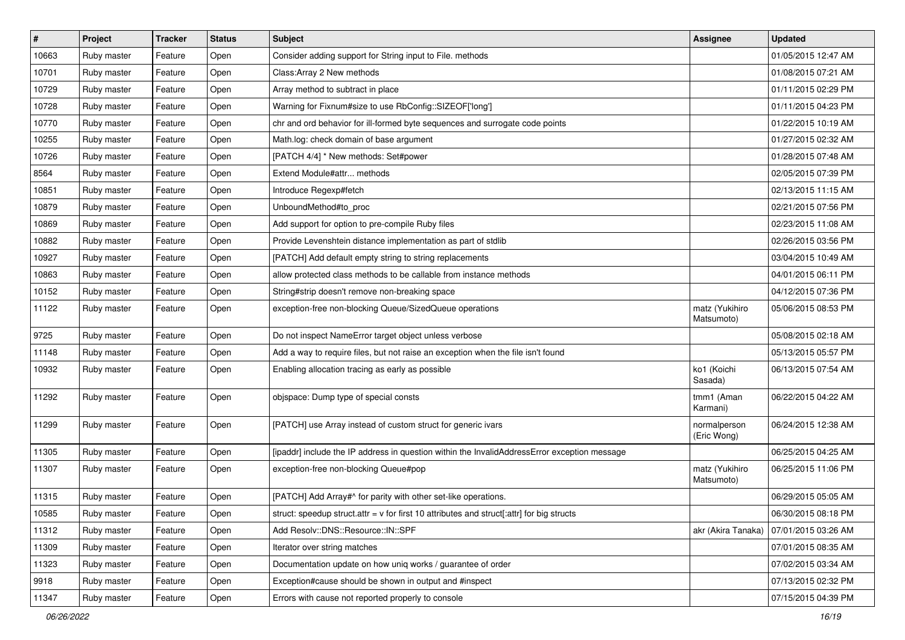| $\vert$ # | Project     | <b>Tracker</b> | <b>Status</b> | Subject                                                                                      | Assignee                     | <b>Updated</b>      |
|-----------|-------------|----------------|---------------|----------------------------------------------------------------------------------------------|------------------------------|---------------------|
| 10663     | Ruby master | Feature        | Open          | Consider adding support for String input to File. methods                                    |                              | 01/05/2015 12:47 AM |
| 10701     | Ruby master | Feature        | Open          | Class: Array 2 New methods                                                                   |                              | 01/08/2015 07:21 AM |
| 10729     | Ruby master | Feature        | Open          | Array method to subtract in place                                                            |                              | 01/11/2015 02:29 PM |
| 10728     | Ruby master | Feature        | Open          | Warning for Fixnum#size to use RbConfig::SIZEOF['long']                                      |                              | 01/11/2015 04:23 PM |
| 10770     | Ruby master | Feature        | Open          | chr and ord behavior for ill-formed byte sequences and surrogate code points                 |                              | 01/22/2015 10:19 AM |
| 10255     | Ruby master | Feature        | Open          | Math.log: check domain of base argument                                                      |                              | 01/27/2015 02:32 AM |
| 10726     | Ruby master | Feature        | Open          | [PATCH 4/4] * New methods: Set#power                                                         |                              | 01/28/2015 07:48 AM |
| 8564      | Ruby master | Feature        | Open          | Extend Module#attr methods                                                                   |                              | 02/05/2015 07:39 PM |
| 10851     | Ruby master | Feature        | Open          | Introduce Regexp#fetch                                                                       |                              | 02/13/2015 11:15 AM |
| 10879     | Ruby master | Feature        | Open          | UnboundMethod#to_proc                                                                        |                              | 02/21/2015 07:56 PM |
| 10869     | Ruby master | Feature        | Open          | Add support for option to pre-compile Ruby files                                             |                              | 02/23/2015 11:08 AM |
| 10882     | Ruby master | Feature        | Open          | Provide Levenshtein distance implementation as part of stdlib                                |                              | 02/26/2015 03:56 PM |
| 10927     | Ruby master | Feature        | Open          | [PATCH] Add default empty string to string replacements                                      |                              | 03/04/2015 10:49 AM |
| 10863     | Ruby master | Feature        | Open          | allow protected class methods to be callable from instance methods                           |                              | 04/01/2015 06:11 PM |
| 10152     | Ruby master | Feature        | Open          | String#strip doesn't remove non-breaking space                                               |                              | 04/12/2015 07:36 PM |
| 11122     | Ruby master | Feature        | Open          | exception-free non-blocking Queue/SizedQueue operations                                      | matz (Yukihiro<br>Matsumoto) | 05/06/2015 08:53 PM |
| 9725      | Ruby master | Feature        | Open          | Do not inspect NameError target object unless verbose                                        |                              | 05/08/2015 02:18 AM |
| 11148     | Ruby master | Feature        | Open          | Add a way to require files, but not raise an exception when the file isn't found             |                              | 05/13/2015 05:57 PM |
| 10932     | Ruby master | Feature        | Open          | Enabling allocation tracing as early as possible                                             | ko1 (Koichi<br>Sasada)       | 06/13/2015 07:54 AM |
| 11292     | Ruby master | Feature        | Open          | objspace: Dump type of special consts                                                        | tmm1 (Aman<br>Karmani)       | 06/22/2015 04:22 AM |
| 11299     | Ruby master | Feature        | Open          | [PATCH] use Array instead of custom struct for generic ivars                                 | normalperson<br>(Eric Wong)  | 06/24/2015 12:38 AM |
| 11305     | Ruby master | Feature        | Open          | [ipaddr] include the IP address in question within the InvalidAddressError exception message |                              | 06/25/2015 04:25 AM |
| 11307     | Ruby master | Feature        | Open          | exception-free non-blocking Queue#pop                                                        | matz (Yukihiro<br>Matsumoto) | 06/25/2015 11:06 PM |
| 11315     | Ruby master | Feature        | Open          | [PATCH] Add Array#^ for parity with other set-like operations.                               |                              | 06/29/2015 05:05 AM |
| 10585     | Ruby master | Feature        | Open          | struct: speedup struct.attr = $v$ for first 10 attributes and struct[:attr] for big structs  |                              | 06/30/2015 08:18 PM |
| 11312     | Ruby master | Feature        | Open          | Add Resolv::DNS::Resource::IN::SPF                                                           | akr (Akira Tanaka)           | 07/01/2015 03:26 AM |
| 11309     | Ruby master | Feature        | Open          | Iterator over string matches                                                                 |                              | 07/01/2015 08:35 AM |
| 11323     | Ruby master | Feature        | Open          | Documentation update on how uniq works / guarantee of order                                  |                              | 07/02/2015 03:34 AM |
| 9918      | Ruby master | Feature        | Open          | Exception#cause should be shown in output and #inspect                                       |                              | 07/13/2015 02:32 PM |
| 11347     | Ruby master | Feature        | Open          | Errors with cause not reported properly to console                                           |                              | 07/15/2015 04:39 PM |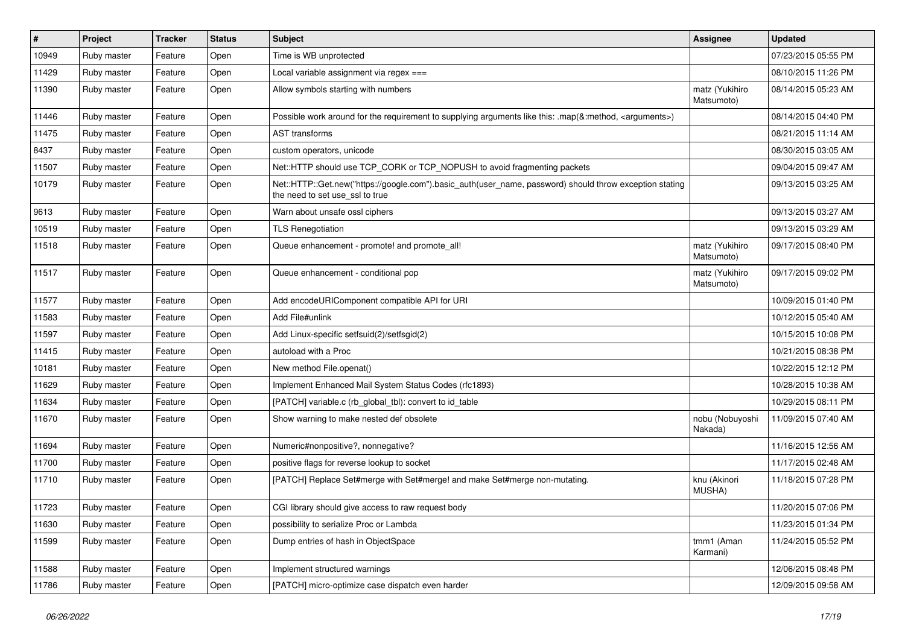| $\vert$ # | Project     | <b>Tracker</b> | <b>Status</b> | Subject                                                                                                                                    | Assignee                     | <b>Updated</b>      |
|-----------|-------------|----------------|---------------|--------------------------------------------------------------------------------------------------------------------------------------------|------------------------------|---------------------|
| 10949     | Ruby master | Feature        | Open          | Time is WB unprotected                                                                                                                     |                              | 07/23/2015 05:55 PM |
| 11429     | Ruby master | Feature        | Open          | Local variable assignment via regex ===                                                                                                    |                              | 08/10/2015 11:26 PM |
| 11390     | Ruby master | Feature        | Open          | Allow symbols starting with numbers                                                                                                        | matz (Yukihiro<br>Matsumoto) | 08/14/2015 05:23 AM |
| 11446     | Ruby master | Feature        | Open          | Possible work around for the requirement to supplying arguments like this: .map(&:method, <arguments>)</arguments>                         |                              | 08/14/2015 04:40 PM |
| 11475     | Ruby master | Feature        | Open          | <b>AST</b> transforms                                                                                                                      |                              | 08/21/2015 11:14 AM |
| 8437      | Ruby master | Feature        | Open          | custom operators, unicode                                                                                                                  |                              | 08/30/2015 03:05 AM |
| 11507     | Ruby master | Feature        | Open          | Net::HTTP should use TCP CORK or TCP NOPUSH to avoid fragmenting packets                                                                   |                              | 09/04/2015 09:47 AM |
| 10179     | Ruby master | Feature        | Open          | Net::HTTP::Get.new("https://google.com").basic_auth(user_name, password) should throw exception stating<br>the need to set use_ssl to true |                              | 09/13/2015 03:25 AM |
| 9613      | Ruby master | Feature        | Open          | Warn about unsafe ossl ciphers                                                                                                             |                              | 09/13/2015 03:27 AM |
| 10519     | Ruby master | Feature        | Open          | <b>TLS Renegotiation</b>                                                                                                                   |                              | 09/13/2015 03:29 AM |
| 11518     | Ruby master | Feature        | Open          | Queue enhancement - promote! and promote_all!                                                                                              | matz (Yukihiro<br>Matsumoto) | 09/17/2015 08:40 PM |
| 11517     | Ruby master | Feature        | Open          | Queue enhancement - conditional pop                                                                                                        | matz (Yukihiro<br>Matsumoto) | 09/17/2015 09:02 PM |
| 11577     | Ruby master | Feature        | Open          | Add encodeURIComponent compatible API for URI                                                                                              |                              | 10/09/2015 01:40 PM |
| 11583     | Ruby master | Feature        | Open          | Add File#unlink                                                                                                                            |                              | 10/12/2015 05:40 AM |
| 11597     | Ruby master | Feature        | Open          | Add Linux-specific setfsuid(2)/setfsgid(2)                                                                                                 |                              | 10/15/2015 10:08 PM |
| 11415     | Ruby master | Feature        | Open          | autoload with a Proc                                                                                                                       |                              | 10/21/2015 08:38 PM |
| 10181     | Ruby master | Feature        | Open          | New method File.openat()                                                                                                                   |                              | 10/22/2015 12:12 PM |
| 11629     | Ruby master | Feature        | Open          | Implement Enhanced Mail System Status Codes (rfc1893)                                                                                      |                              | 10/28/2015 10:38 AM |
| 11634     | Ruby master | Feature        | Open          | [PATCH] variable.c (rb_global_tbl): convert to id_table                                                                                    |                              | 10/29/2015 08:11 PM |
| 11670     | Ruby master | Feature        | Open          | Show warning to make nested def obsolete                                                                                                   | nobu (Nobuyoshi<br>Nakada)   | 11/09/2015 07:40 AM |
| 11694     | Ruby master | Feature        | Open          | Numeric#nonpositive?, nonnegative?                                                                                                         |                              | 11/16/2015 12:56 AM |
| 11700     | Ruby master | Feature        | Open          | positive flags for reverse lookup to socket                                                                                                |                              | 11/17/2015 02:48 AM |
| 11710     | Ruby master | Feature        | Open          | [PATCH] Replace Set#merge with Set#merge! and make Set#merge non-mutating.                                                                 | knu (Akinori<br>MUSHA)       | 11/18/2015 07:28 PM |
| 11723     | Ruby master | Feature        | Open          | CGI library should give access to raw request body                                                                                         |                              | 11/20/2015 07:06 PM |
| 11630     | Ruby master | Feature        | Open          | possibility to serialize Proc or Lambda                                                                                                    |                              | 11/23/2015 01:34 PM |
| 11599     | Ruby master | Feature        | Open          | Dump entries of hash in ObjectSpace                                                                                                        | tmm1 (Aman<br>Karmani)       | 11/24/2015 05:52 PM |
| 11588     | Ruby master | Feature        | Open          | Implement structured warnings                                                                                                              |                              | 12/06/2015 08:48 PM |
| 11786     | Ruby master | Feature        | Open          | [PATCH] micro-optimize case dispatch even harder                                                                                           |                              | 12/09/2015 09:58 AM |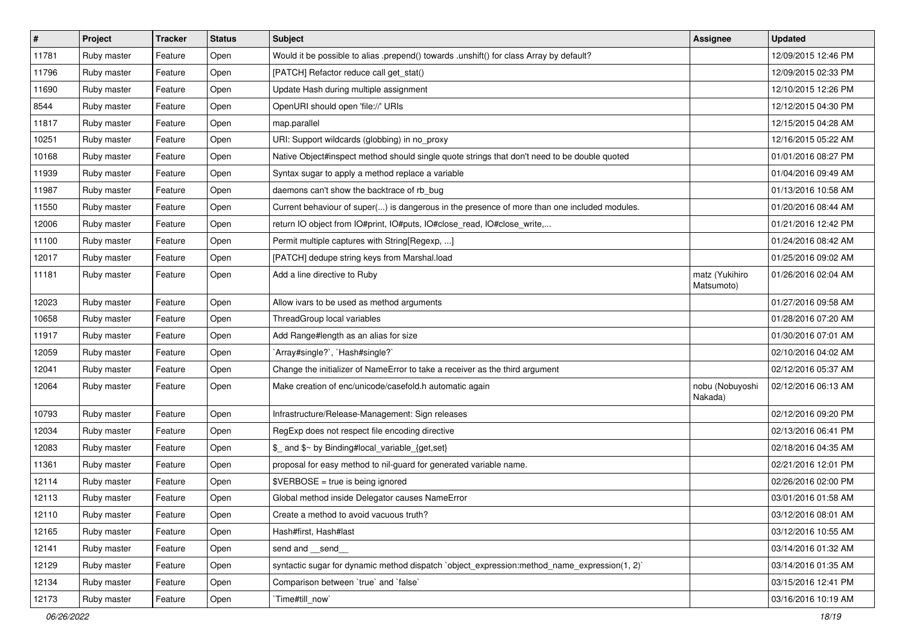| $\vert$ # | Project     | <b>Tracker</b> | <b>Status</b> | <b>Subject</b>                                                                               | <b>Assignee</b>              | <b>Updated</b>      |
|-----------|-------------|----------------|---------------|----------------------------------------------------------------------------------------------|------------------------------|---------------------|
| 11781     | Ruby master | Feature        | Open          | Would it be possible to alias .prepend() towards .unshift() for class Array by default?      |                              | 12/09/2015 12:46 PM |
| 11796     | Ruby master | Feature        | Open          | [PATCH] Refactor reduce call get_stat()                                                      |                              | 12/09/2015 02:33 PM |
| 11690     | Ruby master | Feature        | Open          | Update Hash during multiple assignment                                                       |                              | 12/10/2015 12:26 PM |
| 8544      | Ruby master | Feature        | Open          | OpenURI should open 'file://' URIs                                                           |                              | 12/12/2015 04:30 PM |
| 11817     | Ruby master | Feature        | Open          | map.parallel                                                                                 |                              | 12/15/2015 04:28 AM |
| 10251     | Ruby master | Feature        | Open          | URI: Support wildcards (globbing) in no_proxy                                                |                              | 12/16/2015 05:22 AM |
| 10168     | Ruby master | Feature        | Open          | Native Object#inspect method should single quote strings that don't need to be double quoted |                              | 01/01/2016 08:27 PM |
| 11939     | Ruby master | Feature        | Open          | Syntax sugar to apply a method replace a variable                                            |                              | 01/04/2016 09:49 AM |
| 11987     | Ruby master | Feature        | Open          | daemons can't show the backtrace of rb_bug                                                   |                              | 01/13/2016 10:58 AM |
| 11550     | Ruby master | Feature        | Open          | Current behaviour of super() is dangerous in the presence of more than one included modules. |                              | 01/20/2016 08:44 AM |
| 12006     | Ruby master | Feature        | Open          | return IO object from IO#print, IO#puts, IO#close_read, IO#close_write,                      |                              | 01/21/2016 12:42 PM |
| 11100     | Ruby master | Feature        | Open          | Permit multiple captures with String[Regexp, ]                                               |                              | 01/24/2016 08:42 AM |
| 12017     | Ruby master | Feature        | Open          | [PATCH] dedupe string keys from Marshal.load                                                 |                              | 01/25/2016 09:02 AM |
| 11181     | Ruby master | Feature        | Open          | Add a line directive to Ruby                                                                 | matz (Yukihiro<br>Matsumoto) | 01/26/2016 02:04 AM |
| 12023     | Ruby master | Feature        | Open          | Allow ivars to be used as method arguments                                                   |                              | 01/27/2016 09:58 AM |
| 10658     | Ruby master | Feature        | Open          | ThreadGroup local variables                                                                  |                              | 01/28/2016 07:20 AM |
| 11917     | Ruby master | Feature        | Open          | Add Range#length as an alias for size                                                        |                              | 01/30/2016 07:01 AM |
| 12059     | Ruby master | Feature        | Open          | `Array#single?`, `Hash#single?`                                                              |                              | 02/10/2016 04:02 AM |
| 12041     | Ruby master | Feature        | Open          | Change the initializer of NameError to take a receiver as the third argument                 |                              | 02/12/2016 05:37 AM |
| 12064     | Ruby master | Feature        | Open          | Make creation of enc/unicode/casefold.h automatic again                                      | nobu (Nobuyoshi<br>Nakada)   | 02/12/2016 06:13 AM |
| 10793     | Ruby master | Feature        | Open          | Infrastructure/Release-Management: Sign releases                                             |                              | 02/12/2016 09:20 PM |
| 12034     | Ruby master | Feature        | Open          | RegExp does not respect file encoding directive                                              |                              | 02/13/2016 06:41 PM |
| 12083     | Ruby master | Feature        | Open          | \$_ and \$~ by Binding#local_variable_{get,set}                                              |                              | 02/18/2016 04:35 AM |
| 11361     | Ruby master | Feature        | Open          | proposal for easy method to nil-guard for generated variable name.                           |                              | 02/21/2016 12:01 PM |
| 12114     | Ruby master | Feature        | Open          | $\texttt{SVERBOSE}$ = true is being ignored                                                  |                              | 02/26/2016 02:00 PM |
| 12113     | Ruby master | Feature        | Open          | Global method inside Delegator causes NameError                                              |                              | 03/01/2016 01:58 AM |
| 12110     | Ruby master | Feature        | Open          | Create a method to avoid vacuous truth?                                                      |                              | 03/12/2016 08:01 AM |
| 12165     | Ruby master | Feature        | Open          | Hash#first, Hash#last                                                                        |                              | 03/12/2016 10:55 AM |
| 12141     | Ruby master | Feature        | Open          | send and __send_                                                                             |                              | 03/14/2016 01:32 AM |
| 12129     | Ruby master | Feature        | Open          | syntactic sugar for dynamic method dispatch `object expression:method name expression(1, 2)` |                              | 03/14/2016 01:35 AM |
| 12134     | Ruby master | Feature        | Open          | Comparison between 'true' and 'false'                                                        |                              | 03/15/2016 12:41 PM |
| 12173     | Ruby master | Feature        | Open          | Time#till_now`                                                                               |                              | 03/16/2016 10:19 AM |